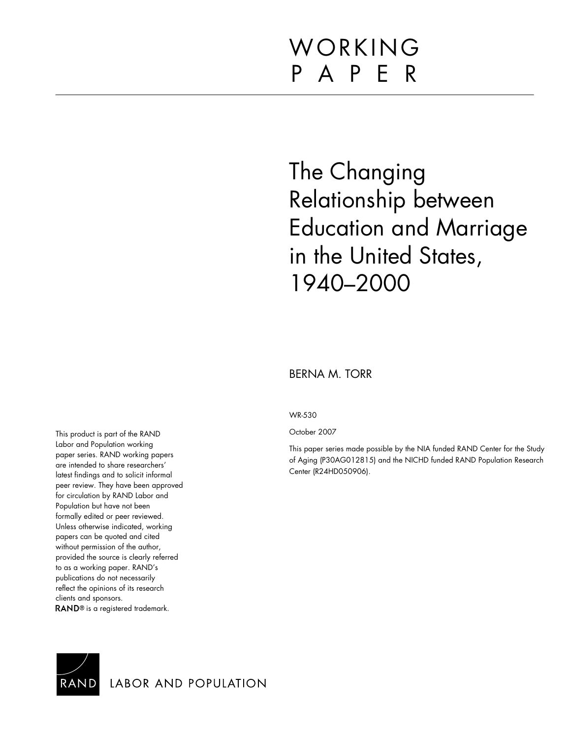# WORKING P A P E R

# The Changing Relationship between Education and Marriage in the United States, 1940–2000

## BERNA M. TORR

WR-530

October 2007

This paper series made possible by the NIA funded RAND Center for the Study of Aging (P30AG012815) and the NICHD funded RAND Population Research Center (R24HD050906).

This product is part of the RAND Labor and Population working paper series. RAND working papers are intended to share researchers' latest findings and to solicit informal peer review. They have been approved for circulation by RAND Labor and Population but have not been formally edited or peer reviewed. Unless otherwise indicated, working papers can be quoted and cited without permission of the author, provided the source is clearly referred to as a working paper. RAND's publications do not necessarily reflect the opinions of its research clients and sponsors. RAND<sup>®</sup> is a registered trademark.



LABOR AND POPULATION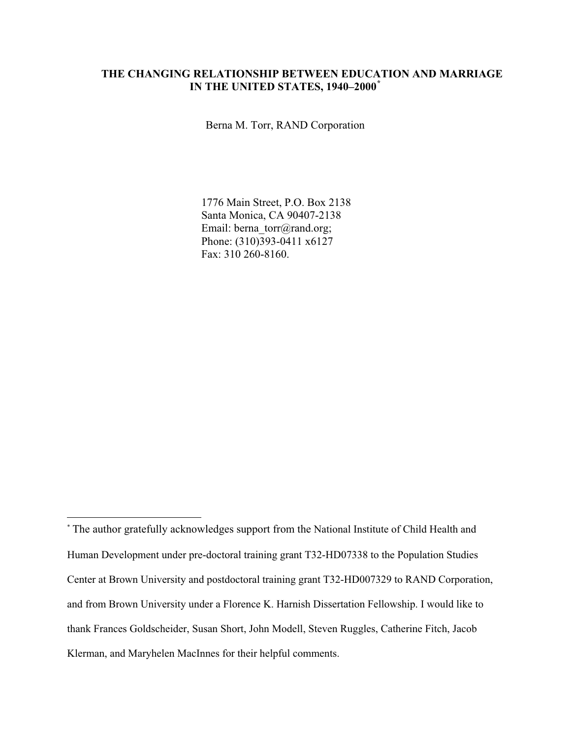## **THE CHANGING RELATIONSHIP BETWEEN EDUCATION AND MARRIAGE IN THE UNITED STATES, 1940–2000\***

Berna M. Torr, RAND Corporation

1776 Main Street, P.O. Box 2138 Santa Monica, CA 90407-2138 Email: berna\_torr@rand.org; Phone: (310)393-0411 x6127 Fax: 310 260-8160.

<sup>\*</sup> The author gratefully acknowledges support from the National Institute of Child Health and Human Development under pre-doctoral training grant T32-HD07338 to the Population Studies Center at Brown University and postdoctoral training grant T32-HD007329 to RAND Corporation, and from Brown University under a Florence K. Harnish Dissertation Fellowship. I would like to thank Frances Goldscheider, Susan Short, John Modell, Steven Ruggles, Catherine Fitch, Jacob Klerman, and Maryhelen MacInnes for their helpful comments.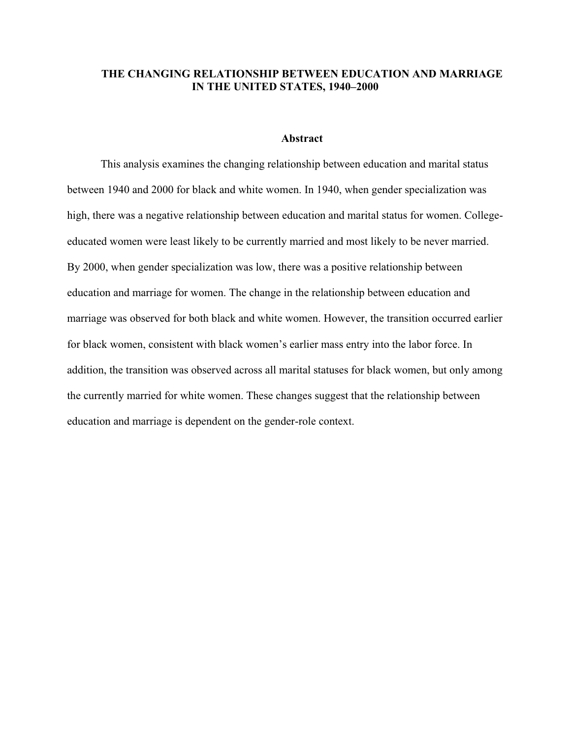## **THE CHANGING RELATIONSHIP BETWEEN EDUCATION AND MARRIAGE IN THE UNITED STATES, 1940–2000**

#### **Abstract**

This analysis examines the changing relationship between education and marital status between 1940 and 2000 for black and white women. In 1940, when gender specialization was high, there was a negative relationship between education and marital status for women. Collegeeducated women were least likely to be currently married and most likely to be never married. By 2000, when gender specialization was low, there was a positive relationship between education and marriage for women. The change in the relationship between education and marriage was observed for both black and white women. However, the transition occurred earlier for black women, consistent with black women's earlier mass entry into the labor force. In addition, the transition was observed across all marital statuses for black women, but only among the currently married for white women. These changes suggest that the relationship between education and marriage is dependent on the gender-role context.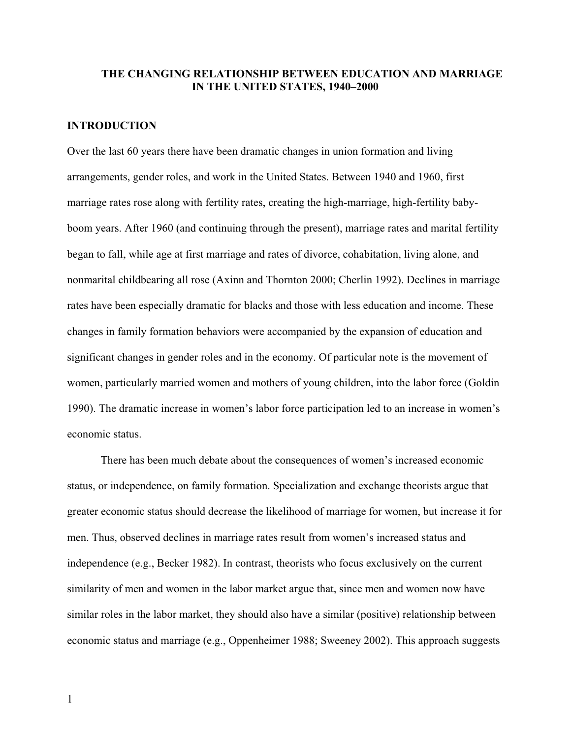#### **THE CHANGING RELATIONSHIP BETWEEN EDUCATION AND MARRIAGE IN THE UNITED STATES, 1940–2000**

#### **INTRODUCTION**

Over the last 60 years there have been dramatic changes in union formation and living arrangements, gender roles, and work in the United States. Between 1940 and 1960, first marriage rates rose along with fertility rates, creating the high-marriage, high-fertility babyboom years. After 1960 (and continuing through the present), marriage rates and marital fertility began to fall, while age at first marriage and rates of divorce, cohabitation, living alone, and nonmarital childbearing all rose (Axinn and Thornton 2000; Cherlin 1992). Declines in marriage rates have been especially dramatic for blacks and those with less education and income. These changes in family formation behaviors were accompanied by the expansion of education and significant changes in gender roles and in the economy. Of particular note is the movement of women, particularly married women and mothers of young children, into the labor force (Goldin 1990). The dramatic increase in women's labor force participation led to an increase in women's economic status.

There has been much debate about the consequences of women's increased economic status, or independence, on family formation. Specialization and exchange theorists argue that greater economic status should decrease the likelihood of marriage for women, but increase it for men. Thus, observed declines in marriage rates result from women's increased status and independence (e.g., Becker 1982). In contrast, theorists who focus exclusively on the current similarity of men and women in the labor market argue that, since men and women now have similar roles in the labor market, they should also have a similar (positive) relationship between economic status and marriage (e.g., Oppenheimer 1988; Sweeney 2002). This approach suggests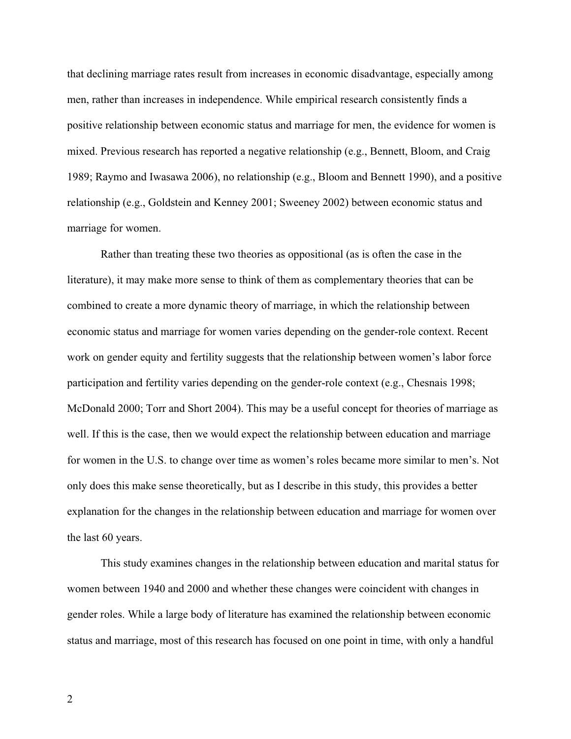that declining marriage rates result from increases in economic disadvantage, especially among men, rather than increases in independence. While empirical research consistently finds a positive relationship between economic status and marriage for men, the evidence for women is mixed. Previous research has reported a negative relationship (e.g., Bennett, Bloom, and Craig 1989; Raymo and Iwasawa 2006), no relationship (e.g., Bloom and Bennett 1990), and a positive relationship (e.g., Goldstein and Kenney 2001; Sweeney 2002) between economic status and marriage for women.

Rather than treating these two theories as oppositional (as is often the case in the literature), it may make more sense to think of them as complementary theories that can be combined to create a more dynamic theory of marriage, in which the relationship between economic status and marriage for women varies depending on the gender-role context. Recent work on gender equity and fertility suggests that the relationship between women's labor force participation and fertility varies depending on the gender-role context (e.g., Chesnais 1998; McDonald 2000; Torr and Short 2004). This may be a useful concept for theories of marriage as well. If this is the case, then we would expect the relationship between education and marriage for women in the U.S. to change over time as women's roles became more similar to men's. Not only does this make sense theoretically, but as I describe in this study, this provides a better explanation for the changes in the relationship between education and marriage for women over the last 60 years.

This study examines changes in the relationship between education and marital status for women between 1940 and 2000 and whether these changes were coincident with changes in gender roles. While a large body of literature has examined the relationship between economic status and marriage, most of this research has focused on one point in time, with only a handful

2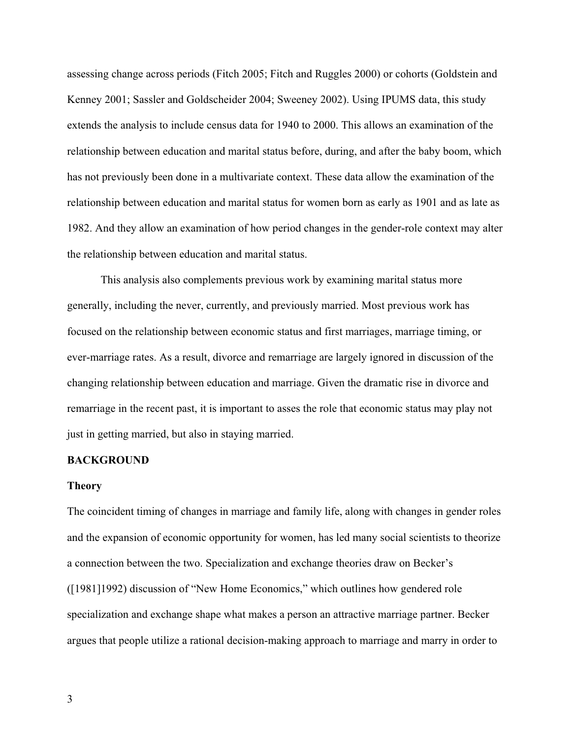assessing change across periods (Fitch 2005; Fitch and Ruggles 2000) or cohorts (Goldstein and Kenney 2001; Sassler and Goldscheider 2004; Sweeney 2002). Using IPUMS data, this study extends the analysis to include census data for 1940 to 2000. This allows an examination of the relationship between education and marital status before, during, and after the baby boom, which has not previously been done in a multivariate context. These data allow the examination of the relationship between education and marital status for women born as early as 1901 and as late as 1982. And they allow an examination of how period changes in the gender-role context may alter the relationship between education and marital status.

This analysis also complements previous work by examining marital status more generally, including the never, currently, and previously married. Most previous work has focused on the relationship between economic status and first marriages, marriage timing, or ever-marriage rates. As a result, divorce and remarriage are largely ignored in discussion of the changing relationship between education and marriage. Given the dramatic rise in divorce and remarriage in the recent past, it is important to asses the role that economic status may play not just in getting married, but also in staying married.

### **BACKGROUND**

#### **Theory**

The coincident timing of changes in marriage and family life, along with changes in gender roles and the expansion of economic opportunity for women, has led many social scientists to theorize a connection between the two. Specialization and exchange theories draw on Becker's ([1981]1992) discussion of "New Home Economics," which outlines how gendered role specialization and exchange shape what makes a person an attractive marriage partner. Becker argues that people utilize a rational decision-making approach to marriage and marry in order to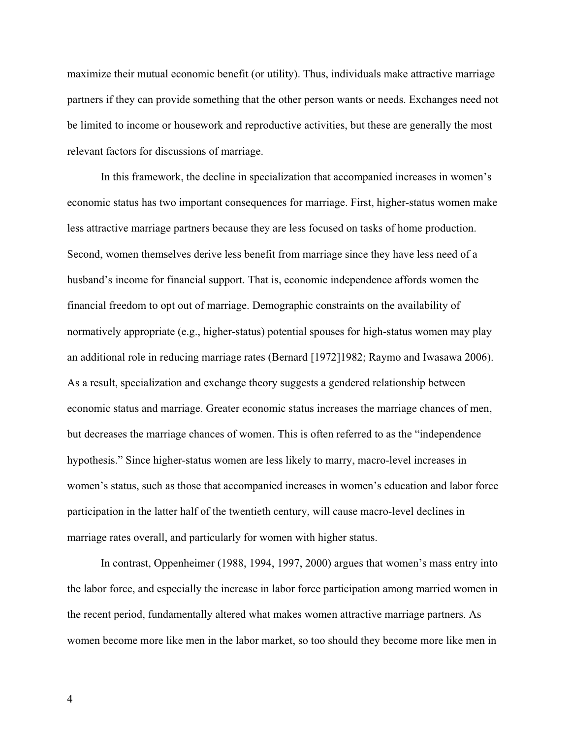maximize their mutual economic benefit (or utility). Thus, individuals make attractive marriage partners if they can provide something that the other person wants or needs. Exchanges need not be limited to income or housework and reproductive activities, but these are generally the most relevant factors for discussions of marriage.

In this framework, the decline in specialization that accompanied increases in women's economic status has two important consequences for marriage. First, higher-status women make less attractive marriage partners because they are less focused on tasks of home production. Second, women themselves derive less benefit from marriage since they have less need of a husband's income for financial support. That is, economic independence affords women the financial freedom to opt out of marriage. Demographic constraints on the availability of normatively appropriate (e.g., higher-status) potential spouses for high-status women may play an additional role in reducing marriage rates (Bernard [1972]1982; Raymo and Iwasawa 2006). As a result, specialization and exchange theory suggests a gendered relationship between economic status and marriage. Greater economic status increases the marriage chances of men, but decreases the marriage chances of women. This is often referred to as the "independence hypothesis." Since higher-status women are less likely to marry, macro-level increases in women's status, such as those that accompanied increases in women's education and labor force participation in the latter half of the twentieth century, will cause macro-level declines in marriage rates overall, and particularly for women with higher status.

In contrast, Oppenheimer (1988, 1994, 1997, 2000) argues that women's mass entry into the labor force, and especially the increase in labor force participation among married women in the recent period, fundamentally altered what makes women attractive marriage partners. As women become more like men in the labor market, so too should they become more like men in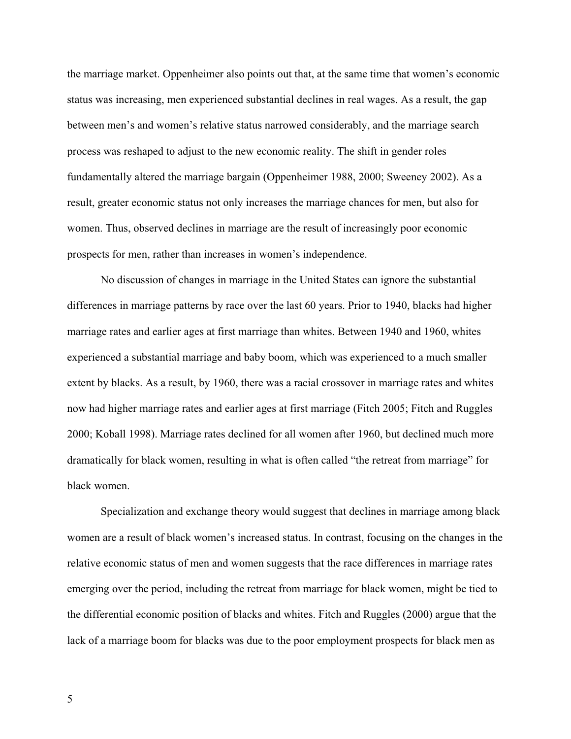the marriage market. Oppenheimer also points out that, at the same time that women's economic status was increasing, men experienced substantial declines in real wages. As a result, the gap between men's and women's relative status narrowed considerably, and the marriage search process was reshaped to adjust to the new economic reality. The shift in gender roles fundamentally altered the marriage bargain (Oppenheimer 1988, 2000; Sweeney 2002). As a result, greater economic status not only increases the marriage chances for men, but also for women. Thus, observed declines in marriage are the result of increasingly poor economic prospects for men, rather than increases in women's independence.

No discussion of changes in marriage in the United States can ignore the substantial differences in marriage patterns by race over the last 60 years. Prior to 1940, blacks had higher marriage rates and earlier ages at first marriage than whites. Between 1940 and 1960, whites experienced a substantial marriage and baby boom, which was experienced to a much smaller extent by blacks. As a result, by 1960, there was a racial crossover in marriage rates and whites now had higher marriage rates and earlier ages at first marriage (Fitch 2005; Fitch and Ruggles 2000; Koball 1998). Marriage rates declined for all women after 1960, but declined much more dramatically for black women, resulting in what is often called "the retreat from marriage" for black women.

Specialization and exchange theory would suggest that declines in marriage among black women are a result of black women's increased status. In contrast, focusing on the changes in the relative economic status of men and women suggests that the race differences in marriage rates emerging over the period, including the retreat from marriage for black women, might be tied to the differential economic position of blacks and whites. Fitch and Ruggles (2000) argue that the lack of a marriage boom for blacks was due to the poor employment prospects for black men as

5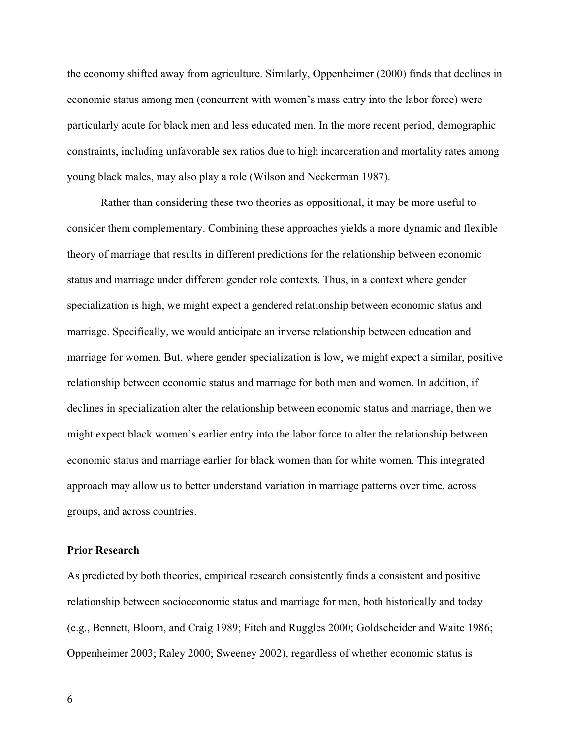the economy shifted away from agriculture. Similarly, Oppenheimer (2000) finds that declines in economic status among men (concurrent with women's mass entry into the labor force) were particularly acute for black men and less educated men. In the more recent period, demographic constraints, including unfavorable sex ratios due to high incarceration and mortality rates among young black males, may also play a role (Wilson and Neckerman 1987).

Rather than considering these two theories as oppositional, it may be more useful to consider them complementary. Combining these approaches yields a more dynamic and flexible theory of marriage that results in different predictions for the relationship between economic status and marriage under different gender role contexts. Thus, in a context where gender specialization is high, we might expect a gendered relationship between economic status and marriage. Specifically, we would anticipate an inverse relationship between education and marriage for women. But, where gender specialization is low, we might expect a similar, positive relationship between economic status and marriage for both men and women. In addition, if declines in specialization alter the relationship between economic status and marriage, then we might expect black women's earlier entry into the labor force to alter the relationship between economic status and marriage earlier for black women than for white women. This integrated approach may allow us to better understand variation in marriage patterns over time, across groups, and across countries.

## **Prior Research**

As predicted by both theories, empirical research consistently finds a consistent and positive relationship between socioeconomic status and marriage for men, both historically and today (e.g., Bennett, Bloom, and Craig 1989; Fitch and Ruggles 2000; Goldscheider and Waite 1986; Oppenheimer 2003; Raley 2000; Sweeney 2002), regardless of whether economic status is

6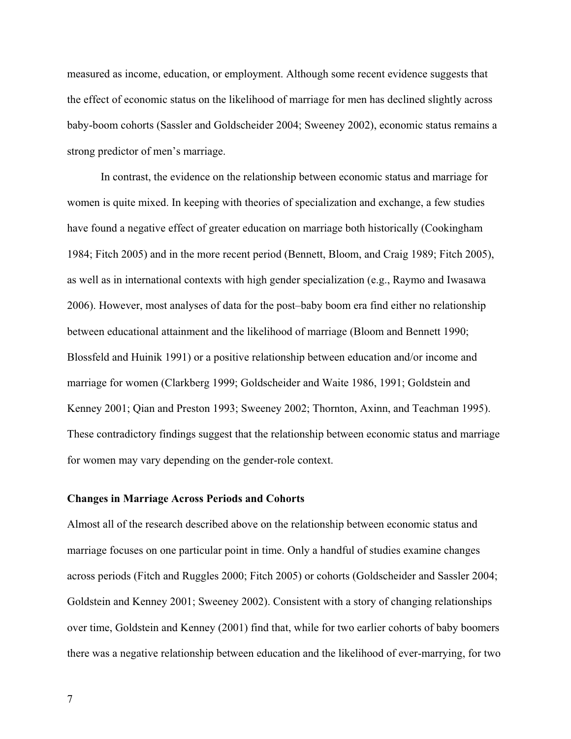measured as income, education, or employment. Although some recent evidence suggests that the effect of economic status on the likelihood of marriage for men has declined slightly across baby-boom cohorts (Sassler and Goldscheider 2004; Sweeney 2002), economic status remains a strong predictor of men's marriage.

In contrast, the evidence on the relationship between economic status and marriage for women is quite mixed. In keeping with theories of specialization and exchange, a few studies have found a negative effect of greater education on marriage both historically (Cookingham 1984; Fitch 2005) and in the more recent period (Bennett, Bloom, and Craig 1989; Fitch 2005), as well as in international contexts with high gender specialization (e.g., Raymo and Iwasawa 2006). However, most analyses of data for the post–baby boom era find either no relationship between educational attainment and the likelihood of marriage (Bloom and Bennett 1990; Blossfeld and Huinik 1991) or a positive relationship between education and/or income and marriage for women (Clarkberg 1999; Goldscheider and Waite 1986, 1991; Goldstein and Kenney 2001; Qian and Preston 1993; Sweeney 2002; Thornton, Axinn, and Teachman 1995). These contradictory findings suggest that the relationship between economic status and marriage for women may vary depending on the gender-role context.

## **Changes in Marriage Across Periods and Cohorts**

Almost all of the research described above on the relationship between economic status and marriage focuses on one particular point in time. Only a handful of studies examine changes across periods (Fitch and Ruggles 2000; Fitch 2005) or cohorts (Goldscheider and Sassler 2004; Goldstein and Kenney 2001; Sweeney 2002). Consistent with a story of changing relationships over time, Goldstein and Kenney (2001) find that, while for two earlier cohorts of baby boomers there was a negative relationship between education and the likelihood of ever-marrying, for two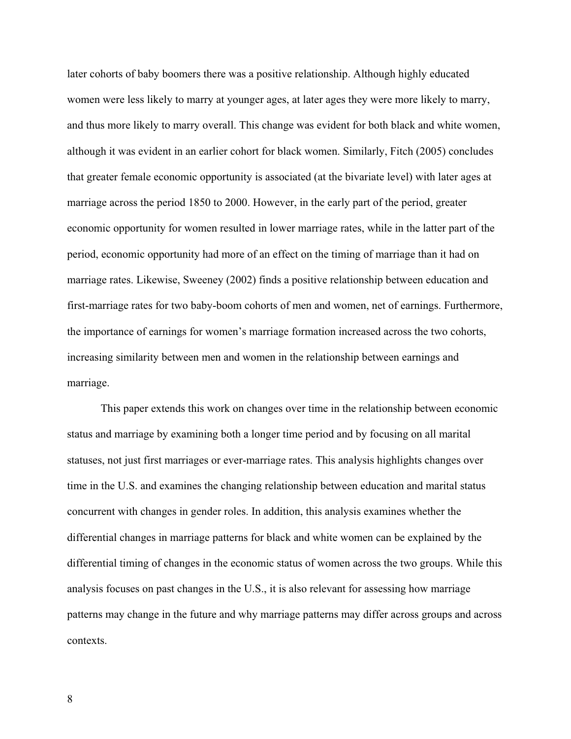later cohorts of baby boomers there was a positive relationship. Although highly educated women were less likely to marry at younger ages, at later ages they were more likely to marry, and thus more likely to marry overall. This change was evident for both black and white women, although it was evident in an earlier cohort for black women. Similarly, Fitch (2005) concludes that greater female economic opportunity is associated (at the bivariate level) with later ages at marriage across the period 1850 to 2000. However, in the early part of the period, greater economic opportunity for women resulted in lower marriage rates, while in the latter part of the period, economic opportunity had more of an effect on the timing of marriage than it had on marriage rates. Likewise, Sweeney (2002) finds a positive relationship between education and first-marriage rates for two baby-boom cohorts of men and women, net of earnings. Furthermore, the importance of earnings for women's marriage formation increased across the two cohorts, increasing similarity between men and women in the relationship between earnings and marriage.

This paper extends this work on changes over time in the relationship between economic status and marriage by examining both a longer time period and by focusing on all marital statuses, not just first marriages or ever-marriage rates. This analysis highlights changes over time in the U.S. and examines the changing relationship between education and marital status concurrent with changes in gender roles. In addition, this analysis examines whether the differential changes in marriage patterns for black and white women can be explained by the differential timing of changes in the economic status of women across the two groups. While this analysis focuses on past changes in the U.S., it is also relevant for assessing how marriage patterns may change in the future and why marriage patterns may differ across groups and across contexts.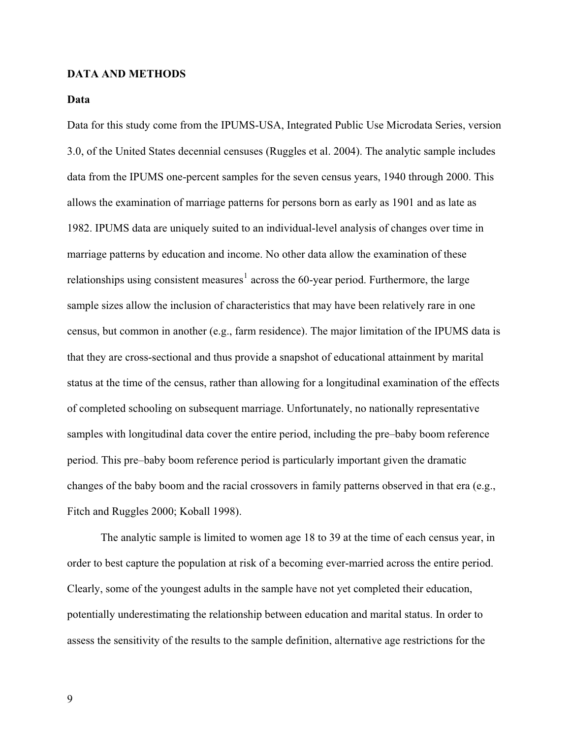#### **DATA AND METHODS**

#### **Data**

Data for this study come from the IPUMS-USA, Integrated Public Use Microdata Series, version 3.0, of the United States decennial censuses (Ruggles et al. 2004). The analytic sample includes data from the IPUMS one-percent samples for the seven census years, 1940 through 2000. This allows the examination of marriage patterns for persons born as early as 1901 and as late as 1982. IPUMS data are uniquely suited to an individual-level analysis of changes over time in marriage patterns by education and income. No other data allow the examination of these relationships using consistent measures<sup>1</sup> across the 60-year period. Furthermore, the large sample sizes allow the inclusion of characteristics that may have been relatively rare in one census, but common in another (e.g., farm residence). The major limitation of the IPUMS data i s that they are cross-sectional and thus provide a snapshot of educational attainment by marital status at the time of the census, rather than allowing for a longitudinal examination of th e effects of completed schooling on subsequent marriage. Unfortunately, no nationally representativ e samples with longitudinal data cover the entire period, including the pre–baby boom reference period. This pre–baby boom reference period is particularly important given the dramatic changes of the baby boom and the racial crossovers in family patterns observed in that era (e.g., Fitch and Ruggles 2000; Koball 1998).

The analytic sample is limited to women age 18 to 39 at the time of each census year, in order to best capture the population at risk of a becoming ever-married across the entire period. Clearly, some of the youngest adults in the sample have not yet completed their education, potentially underestimating the relationship between education and marital status. In order to assess the sensitivity of the results to the sample definition, alternative age restrictions for the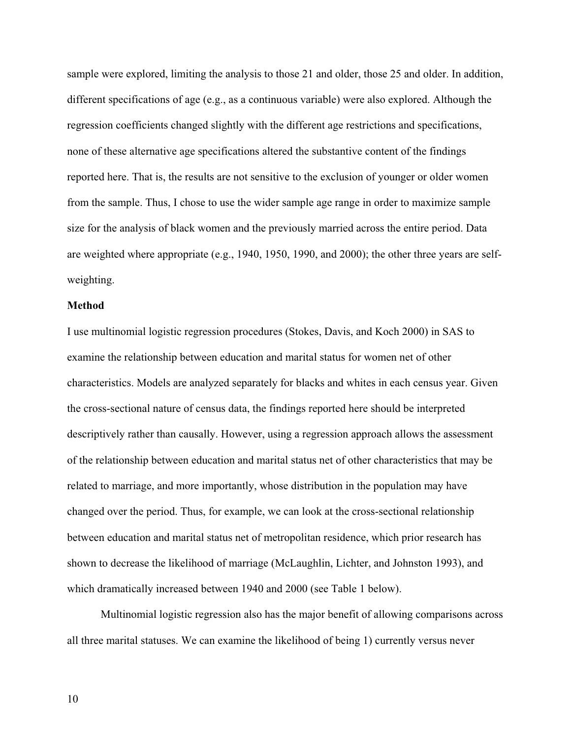sample were explored, limiting the analysis to those 21 and older, those 25 and older. In addition, different specifications of age (e.g., as a continuous variable) were also explored. Although the regression coefficients changed slightly with the different age restrictions and specifications, none of these alternative age specifications altered the substantive content of the findings reported here. That is, the results are not sensitive to the exclusion of younger or older women from the sample. Thus, I chose to use the wider sample age range in order to maximize sample size for the analysis of black women and the previously married across the entire period. Data are weighted where appropriate (e.g., 1940, 1950, 1990, and 2000); the other three years are selfweighting.

#### **Method**

I use multinomial logistic regression procedures (Stokes, Davis, and Koch 2000) in SAS to examine the relationship between education and marital status for women net of other characteristics. Models are analyzed separately for blacks and whites in each census year. Given the cross-sectional nature of census data, the findings reported here should be interpreted descriptively rather than causally. However, using a regression approach allows the assessment of the relationship between education and marital status net of other characteristics that may be related to marriage, and more importantly, whose distribution in the population may have changed over the period. Thus, for example, we can look at the cross-sectional relationship between education and marital status net of metropolitan residence, which prior research has shown to decrease the likelihood of marriage (McLaughlin, Lichter, and Johnston 1993), and which dramatically increased between 1940 and 2000 (see Table 1 below).

Multinomial logistic regression also has the major benefit of allowing comparisons across all three marital statuses. We can examine the likelihood of being 1) currently versus never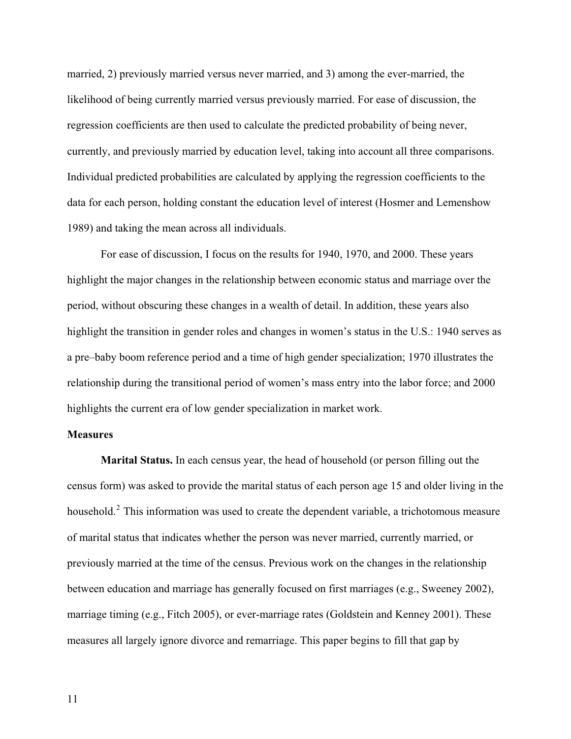married, 2) previously married versus never married, and 3) among the ever-married, the likelihood of being currently married versus previously married. For ease of discussion, the regression coefficients are then used to calculate the predicted probability of being never, currently, and previously married by education level, taking into account all three comparisons. Individual predicted probabilities are calculated by applying the regression coefficients to the data for each person, holding constant the education level of interest (Hosmer and Lemenshow 1989) and taking the mean across all individuals.

For ease of discussion, I focus on the results for 1940, 1970, and 2000. These years highlight the major changes in the relationship between economic status and marriage over the period, without obscuring these changes in a wealth of detail. In addition, these years also highlight the transition in gender roles and changes in women's status in the U.S.: 1940 serves as a pre–baby boom reference period and a time of high gender specialization; 1970 illustrates the relationship during the transitional period of women's mass entry into the labor force; and 2000 highlights the current era of low gender specialization in market work.

#### **Measures**

**Marital Status.** In each census year, the head of household (or person filling out the census form) was asked to provide the marital status of each person age 15 and older living in the household.<sup>2</sup> This information was used to create the dependent variable, a trichotomous measure of marital status that indicates whether the person was never married, currently married, or previously married at the time of the census. Previous work on the changes in the relationship between education and marriage has generally focused on first marriages (e.g., Sweeney 2002), marriage timing (e.g., Fitch 2005), or ever-marriage rates (Goldstein and Kenney 2001). These measures all largely ignore divorce and remarriage. This paper begins to fill that gap by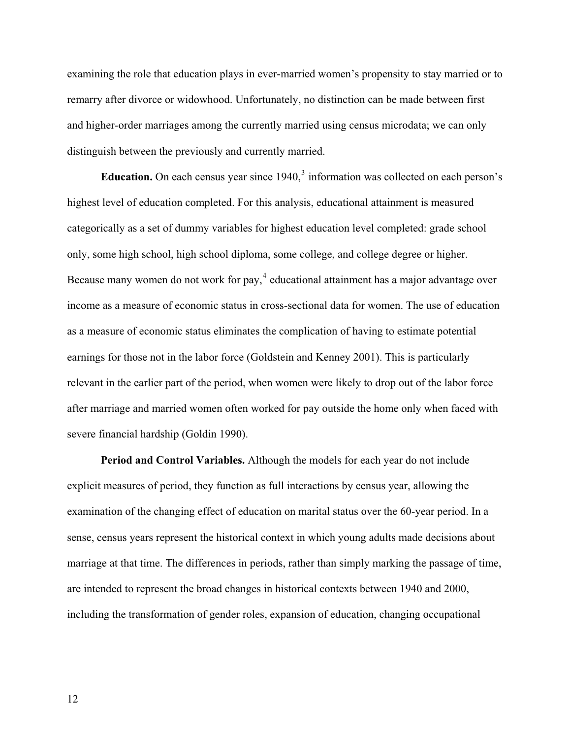examining the role that education plays in ever-married women's propensity to stay married or to remarry after divorce or widowhood. Unfortunately, no distinction can be made between first and higher-order marriages among the currently married using census microdata; we can only distinguish between the previously and currently married.

**Education.** On each census year since  $1940$ ,  $3$  information was collected on each person's highest level of education completed. For this analysis, educational attainment is measured categorically as a set of dummy variables for highest education level completed: grade school only, some high school, high school diploma, some college, and college degree or higher. Because many women do not work for pay,<sup>4</sup> educational attainment has a major advantage over income as a measure of economic status in cross-sectional data for women. The use of education as a measure of economic status eliminates the complication of having to estimate potential earnings for those not in the labor force (Goldstein and Kenney 2001). This is particularly relevant in the earlier part of the period, when women were likely to drop out of the labor force after marriage and married women often worked for pay outside the home only when faced with severe financial hardship (Goldin 1990).

**Period and Control Variables.** Although the models for each year do not include explicit measures of period, they function as full interactions by census year, allowing the examination of the changing effect of education on marital status over the 60-year period. In a sense, census years represent the historical context in which young adults made decisions about marriage at that time. The differences in periods, rather than simply marking the passage of time, are intended to represent the broad changes in historical contexts between 1940 and 2000, including the transformation of gender roles, expansion of education, changing occupational

12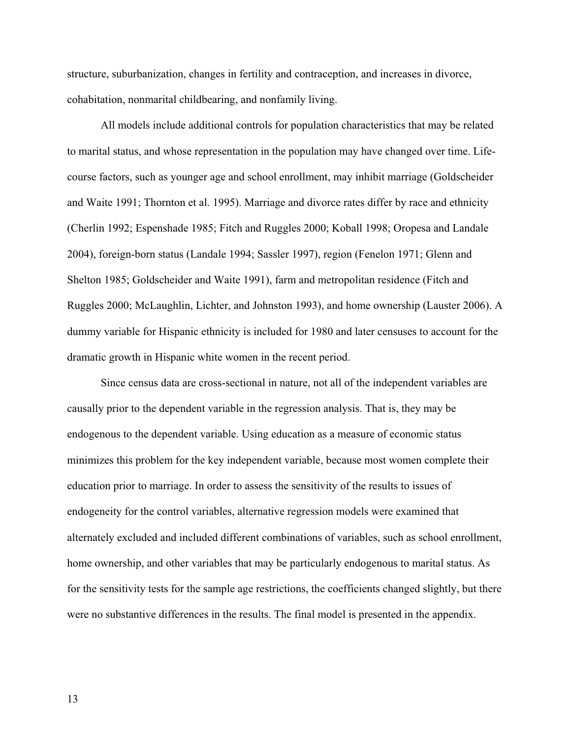structure, suburbanization, changes in fertility and contraception, and increases in divorce, cohabitation, nonmarital childbearing, and nonfamily living.

 All models include additional controls for population characteristics that may be related to marital status, and whose representation in the population may have changed over time. Lifecourse factors, such as younger age and school enrollment, may inhibit marriage (Goldscheider and Waite 1991; Thornton et al. 1995). Marriage and divorce rates differ by race and ethnicity (Cherlin 1992; Espenshade 1985; Fitch and Ruggles 2000; Koball 1998; Oropesa and Landale 2004), foreign-born status (Landale 1994; Sassler 1997), region (Fenelon 1971; Glenn and Shelton 1985; Goldscheider and Waite 1991), farm and metropolitan residence (Fitch and Ruggles 2000; McLaughlin, Lichter, and Johnston 1993), and home ownership (Lauster 2006). A dummy variable for Hispanic ethnicity is included for 1980 and later censuses to account for the dramatic growth in Hispanic white women in the recent period.

 Since census data are cross-sectional in nature, not all of the independent variables are causally prior to the dependent variable in the regression analysis. That is, they may be endogenous to the dependent variable. Using education as a measure of economic status minimizes this problem for the key independent variable, because most women complete their education prior to marriage. In order to assess the sensitivity of the results to issues of endogeneity for the control variables, alternative regression models were examined that alternately excluded and included different combinations of variables, such as school enrollment, home ownership, and other variables that may be particularly endogenous to marital status. As for the sensitivity tests for the sample age restrictions, the coefficients changed slightly, but there were no substantive differences in the results. The final model is presented in the appendix.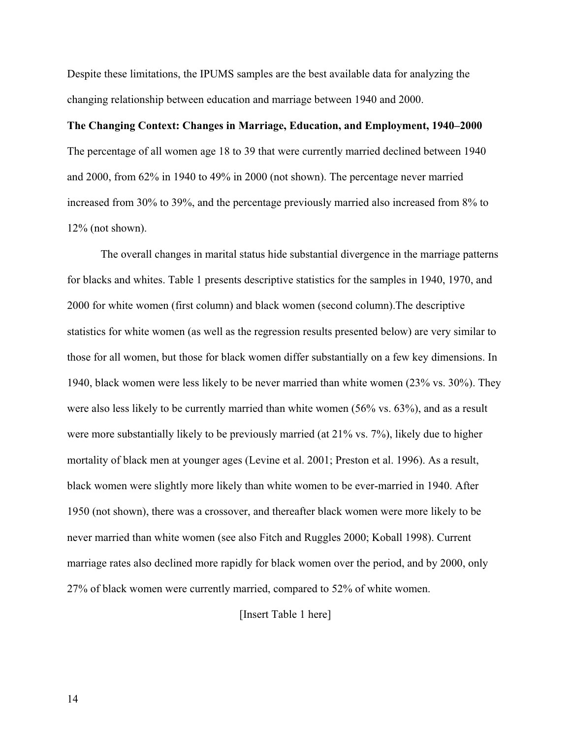Despite these limitations, the IPUMS samples are the best available data for analyzing the changing relationship between education and marriage between 1940 and 2000.

#### **The Changing Context: Changes in Marriage, Education, and Employment, 1940–2000**

The percentage of all women age 18 to 39 that were currently married declined between 1940 and 2000, from 62% in 1940 to 49% in 2000 (not shown). The percentage never married increased from 30% to 39%, and the percentage previously married also increased from 8% to 12% (not shown).

The overall changes in marital status hide substantial divergence in the marriage patterns for blacks and whites. Table 1 presents descriptive statistics for the samples in 1940, 1970, and 2000 for white women (first column) and black women (second column).The descriptive statistics for white women (as well as the regression results presented below) are very similar to those for all women, but those for black women differ substantially on a few key dimensions. In 1940, black women were less likely to be never married than white women (23% vs. 30%). They were also less likely to be currently married than white women (56% vs. 63%), and as a result were more substantially likely to be previously married (at 21% vs. 7%), likely due to higher mortality of black men at younger ages (Levine et al. 2001; Preston et al. 1996). As a result, black women were slightly more likely than white women to be ever-married in 1940. After 1950 (not shown), there was a crossover, and thereafter black women were more likely to be never married than white women (see also Fitch and Ruggles 2000; Koball 1998). Current marriage rates also declined more rapidly for black women over the period, and by 2000, only 27% of black women were currently married, compared to 52% of white women.

[Insert Table 1 here]

14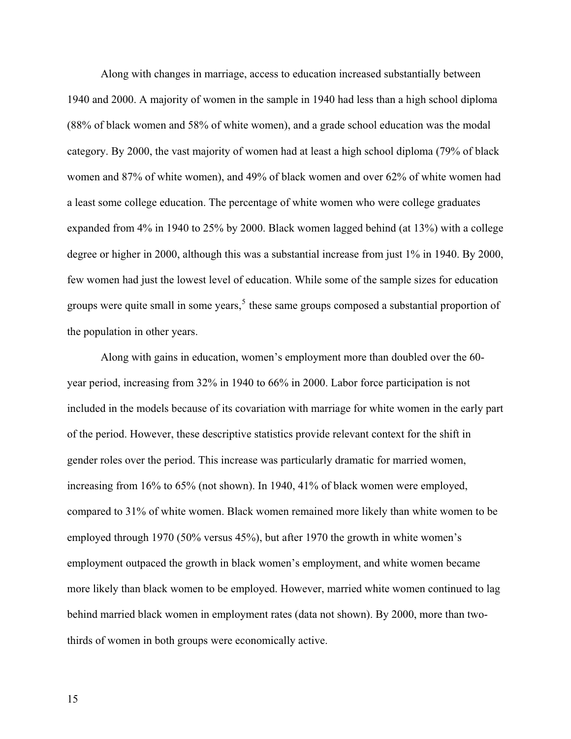Along with changes in marriage, access to education increased substantially between 1940 and 2000. A majority of women in the sample in 1940 had less than a high school diploma (88% of black women and 58% of white women), and a grade school education was the modal category. By 2000, the vast majority of women had at least a high school diploma (79% of black women and 87% of white women), and 49% of black women and over 62% of white women had a least some college education. The percentage of white women who were college graduates expanded from 4% in 1940 to 25% by 2000. Black women lagged behind (at 13%) with a college degree or higher in 2000, although this was a substantial increase from just 1% in 1940. By 2000, few women had just the lowest level of education. While some of the sample sizes for education groups were quite small in some years,  $5$  these same groups composed a substantial proportion of the population in other years.

Along with gains in education, women's employment more than doubled over the 60 year period, increasing from 32% in 1940 to 66% in 2000. Labor force participation is not included in the models because of its covariation with marriage for white women in the early part of the period. However, these descriptive statistics provide relevant context for the shift in gender roles over the period. This increase was particularly dramatic for married women, increasing from 16% to 65% (not shown). In 1940, 41% of black women were employed, compared to 31% of white women. Black women remained more likely than white women to be employed through 1970 (50% versus 45%), but after 1970 the growth in white women's employment outpaced the growth in black women's employment, and white women became more likely than black women to be employed. However, married white women continued to lag behind married black women in employment rates (data not shown). By 2000, more than twothirds of women in both groups were economically active.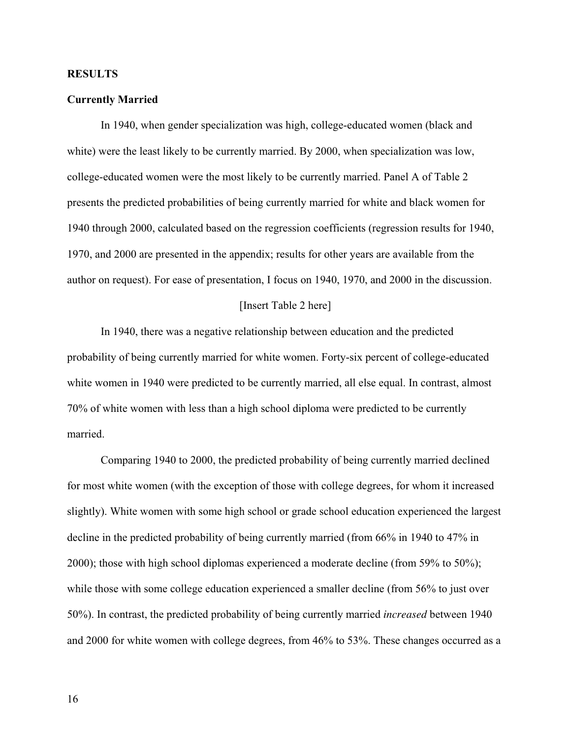#### **RESULTS**

#### **Currently Married**

In 1940, when gender specialization was high, college-educated women (black and white) were the least likely to be currently married. By 2000, when specialization was low, college-educated women were the most likely to be currently married. Panel A of Table 2 presents the predicted probabilities of being currently married for white and black women for 1940 through 2000, calculated based on the regression coefficients (regression results for 1940, 1970, and 2000 are presented in the appendix; results for other years are available from the author on request). For ease of presentation, I focus on 1940, 1970, and 2000 in the discussion.

#### [Insert Table 2 here]

In 1940, there was a negative relationship between education and the predicted probability of being currently married for white women. Forty-six percent of college-educated white women in 1940 were predicted to be currently married, all else equal. In contrast, almost 70% of white women with less than a high school diploma were predicted to be currently married.

Comparing 1940 to 2000, the predicted probability of being currently married declined for most white women (with the exception of those with college degrees, for whom it increased slightly). White women with some high school or grade school education experienced the largest decline in the predicted probability of being currently married (from 66% in 1940 to 47% in 2000); those with high school diplomas experienced a moderate decline (from 59% to 50%); while those with some college education experienced a smaller decline (from 56% to just over 50%). In contrast, the predicted probability of being currently married *increased* between 1940 and 2000 for white women with college degrees, from 46% to 53%. These changes occurred as a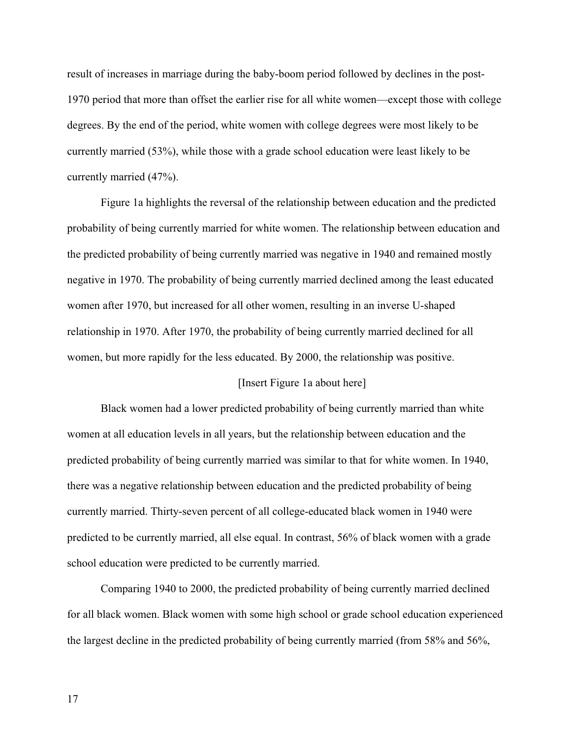result of increases in marriage during the baby-boom period followed by declines in the post-1970 period that more than offset the earlier rise for all white women—except those with college degrees. By the end of the period, white women with college degrees were most likely to be currently married (53%), while those with a grade school education were least likely to be currently married (47%).

Figure 1a highlights the reversal of the relationship between education and the predicted probability of being currently married for white women. The relationship between education and the predicted probability of being currently married was negative in 1940 and remained mostly negative in 1970. The probability of being currently married declined among the least educated women after 1970, but increased for all other women, resulting in an inverse U-shaped relationship in 1970. After 1970, the probability of being currently married declined for all women, but more rapidly for the less educated. By 2000, the relationship was positive.

#### [Insert Figure 1a about here]

Black women had a lower predicted probability of being currently married than white women at all education levels in all years, but the relationship between education and the predicted probability of being currently married was similar to that for white women. In 1940, there was a negative relationship between education and the predicted probability of being currently married. Thirty-seven percent of all college-educated black women in 1940 were predicted to be currently married, all else equal. In contrast, 56% of black women with a grade school education were predicted to be currently married.

Comparing 1940 to 2000, the predicted probability of being currently married declined for all black women. Black women with some high school or grade school education experienced the largest decline in the predicted probability of being currently married (from 58% and 56%,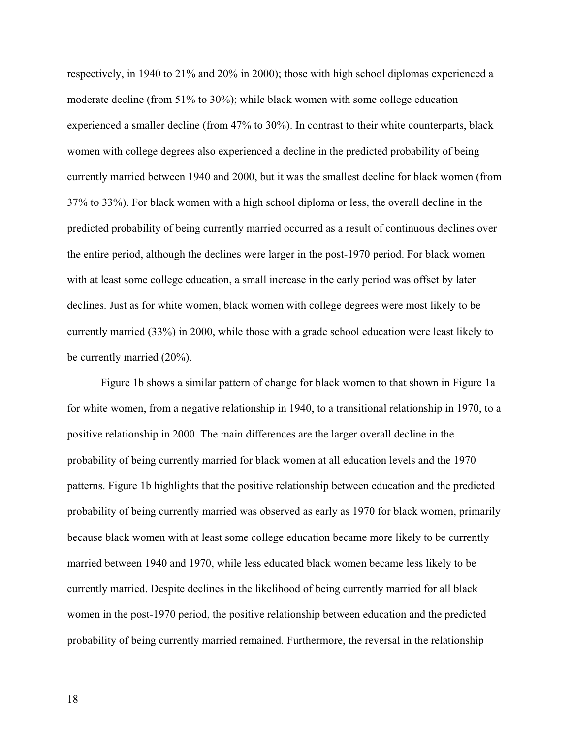respectively, in 1940 to 21% and 20% in 2000); those with high school diplomas experienced a moderate decline (from 51% to 30%); while black women with some college education experienced a smaller decline (from 47% to 30%). In contrast to their white counterparts, black women with college degrees also experienced a decline in the predicted probability of being currently married between 1940 and 2000, but it was the smallest decline for black women (from 37% to 33%). For black women with a high school diploma or less, the overall decline in the predicted probability of being currently married occurred as a result of continuous declines over the entire period, although the declines were larger in the post-1970 period. For black women with at least some college education, a small increase in the early period was offset by later declines. Just as for white women, black women with college degrees were most likely to be currently married (33%) in 2000, while those with a grade school education were least likely to be currently married (20%).

Figure 1b shows a similar pattern of change for black women to that shown in Figure 1a for white women, from a negative relationship in 1940, to a transitional relationship in 1970, to a positive relationship in 2000. The main differences are the larger overall decline in the probability of being currently married for black women at all education levels and the 1970 patterns. Figure 1b highlights that the positive relationship between education and the predicted probability of being currently married was observed as early as 1970 for black women, primarily because black women with at least some college education became more likely to be currently married between 1940 and 1970, while less educated black women became less likely to be currently married. Despite declines in the likelihood of being currently married for all black women in the post-1970 period, the positive relationship between education and the predicted probability of being currently married remained. Furthermore, the reversal in the relationship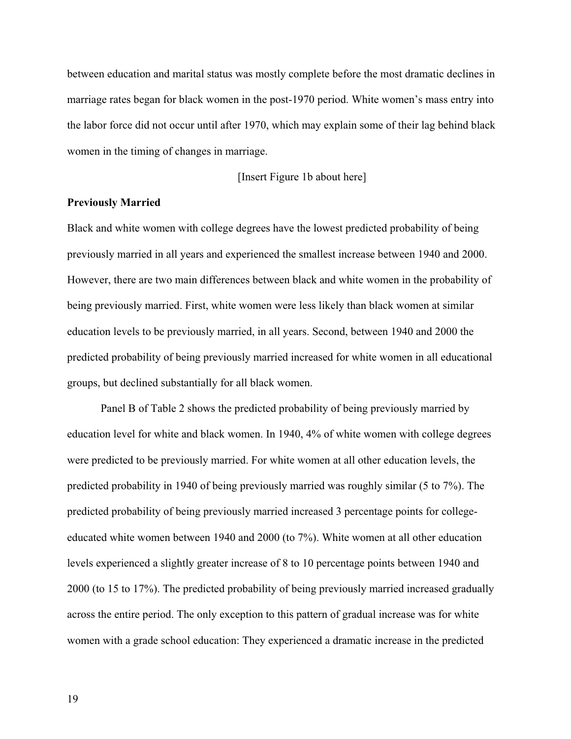between education and marital status was mostly complete before the most dramatic declines in marriage rates began for black women in the post-1970 period. White women's mass entry into the labor force did not occur until after 1970, which may explain some of their lag behind black women in the timing of changes in marriage.

[Insert Figure 1b about here]

#### **Previously Married**

Black and white women with college degrees have the lowest predicted probability of being previously married in all years and experienced the smallest increase between 1940 and 2000. However, there are two main differences between black and white women in the probability of being previously married. First, white women were less likely than black women at similar education levels to be previously married, in all years. Second, between 1940 and 2000 the predicted probability of being previously married increased for white women in all educational groups, but declined substantially for all black women.

Panel B of Table 2 shows the predicted probability of being previously married by education level for white and black women. In 1940, 4% of white women with college degrees were predicted to be previously married. For white women at all other education levels, the predicted probability in 1940 of being previously married was roughly similar (5 to 7%). The predicted probability of being previously married increased 3 percentage points for collegeeducated white women between 1940 and 2000 (to 7%). White women at all other education levels experienced a slightly greater increase of 8 to 10 percentage points between 1940 and 2000 (to 15 to 17%). The predicted probability of being previously married increased gradually across the entire period. The only exception to this pattern of gradual increase was for white women with a grade school education: They experienced a dramatic increase in the predicted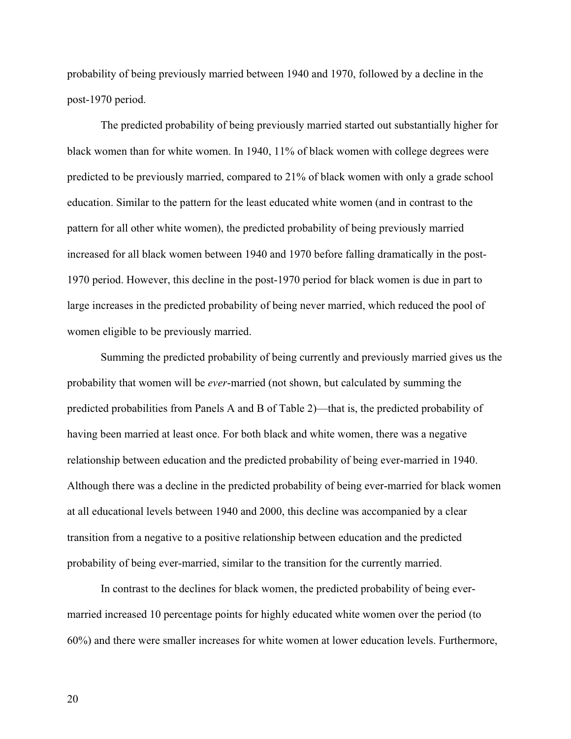probability of being previously married between 1940 and 1970, followed by a decline in the post-1970 period.

The predicted probability of being previously married started out substantially higher for black women than for white women. In 1940, 11% of black women with college degrees were predicted to be previously married, compared to 21% of black women with only a grade school education. Similar to the pattern for the least educated white women (and in contrast to the pattern for all other white women), the predicted probability of being previously married increased for all black women between 1940 and 1970 before falling dramatically in the post-1970 period. However, this decline in the post-1970 period for black women is due in part to large increases in the predicted probability of being never married, which reduced the pool of women eligible to be previously married.

Summing the predicted probability of being currently and previously married gives us the probability that women will be *ever*-married (not shown, but calculated by summing the predicted probabilities from Panels A and B of Table 2)—that is, the predicted probability of having been married at least once. For both black and white women, there was a negative relationship between education and the predicted probability of being ever-married in 1940. Although there was a decline in the predicted probability of being ever-married for black women at all educational levels between 1940 and 2000, this decline was accompanied by a clear transition from a negative to a positive relationship between education and the predicted probability of being ever-married, similar to the transition for the currently married.

In contrast to the declines for black women, the predicted probability of being evermarried increased 10 percentage points for highly educated white women over the period (to 60%) and there were smaller increases for white women at lower education levels. Furthermore,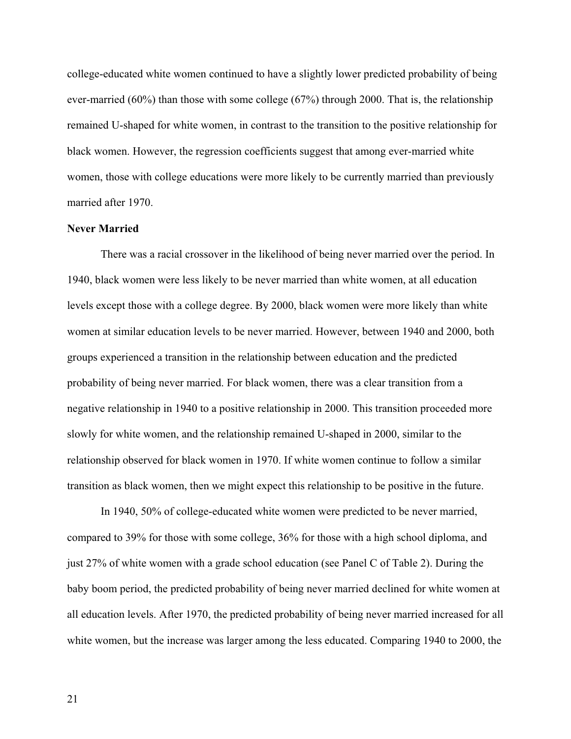college-educated white women continued to have a slightly lower predicted probability of being ever-married (60%) than those with some college (67%) through 2000. That is, the relationship remained U-shaped for white women, in contrast to the transition to the positive relationship for black women. However, the regression coefficients suggest that among ever-married white women, those with college educations were more likely to be currently married than previously married after 1970.

#### **Never Married**

There was a racial crossover in the likelihood of being never married over the period. In 1940, black women were less likely to be never married than white women, at all education levels except those with a college degree. By 2000, black women were more likely than white women at similar education levels to be never married. However, between 1940 and 2000, both groups experienced a transition in the relationship between education and the predicted probability of being never married. For black women, there was a clear transition from a negative relationship in 1940 to a positive relationship in 2000. This transition proceeded more slowly for white women, and the relationship remained U-shaped in 2000, similar to the relationship observed for black women in 1970. If white women continue to follow a similar transition as black women, then we might expect this relationship to be positive in the future.

In 1940, 50% of college-educated white women were predicted to be never married, compared to 39% for those with some college, 36% for those with a high school diploma, and just 27% of white women with a grade school education (see Panel C of Table 2). During the baby boom period, the predicted probability of being never married declined for white women at all education levels. After 1970, the predicted probability of being never married increased for all white women, but the increase was larger among the less educated. Comparing 1940 to 2000, the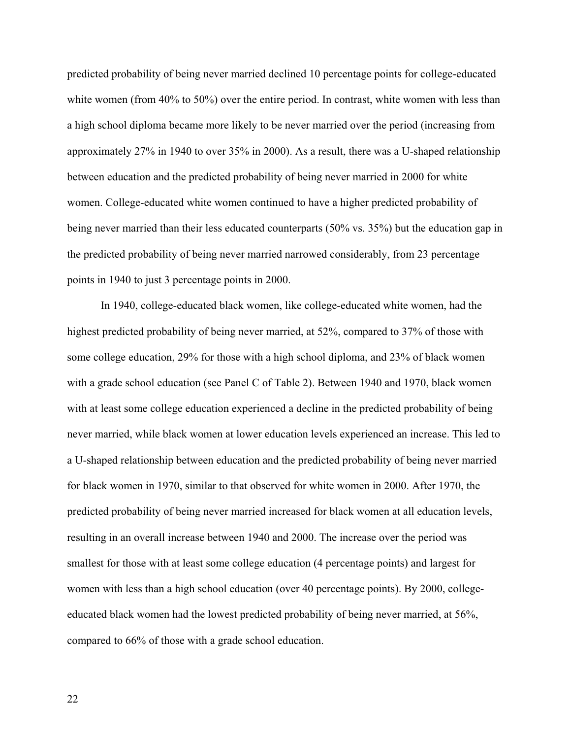predicted probability of being never married declined 10 percentage points for college-educated white women (from 40% to 50%) over the entire period. In contrast, white women with less than a high school diploma became more likely to be never married over the period (increasing from approximately 27% in 1940 to over 35% in 2000). As a result, there was a U-shaped relationship between education and the predicted probability of being never married in 2000 for white women. College-educated white women continued to have a higher predicted probability of being never married than their less educated counterparts (50% vs. 35%) but the education gap in the predicted probability of being never married narrowed considerably, from 23 percentage points in 1940 to just 3 percentage points in 2000.

In 1940, college-educated black women, like college-educated white women, had the highest predicted probability of being never married, at 52%, compared to 37% of those with some college education, 29% for those with a high school diploma, and 23% of black women with a grade school education (see Panel C of Table 2). Between 1940 and 1970, black women with at least some college education experienced a decline in the predicted probability of being never married, while black women at lower education levels experienced an increase. This led to a U-shaped relationship between education and the predicted probability of being never married for black women in 1970, similar to that observed for white women in 2000. After 1970, the predicted probability of being never married increased for black women at all education levels, resulting in an overall increase between 1940 and 2000. The increase over the period was smallest for those with at least some college education (4 percentage points) and largest for women with less than a high school education (over 40 percentage points). By 2000, collegeeducated black women had the lowest predicted probability of being never married, at 56%, compared to 66% of those with a grade school education.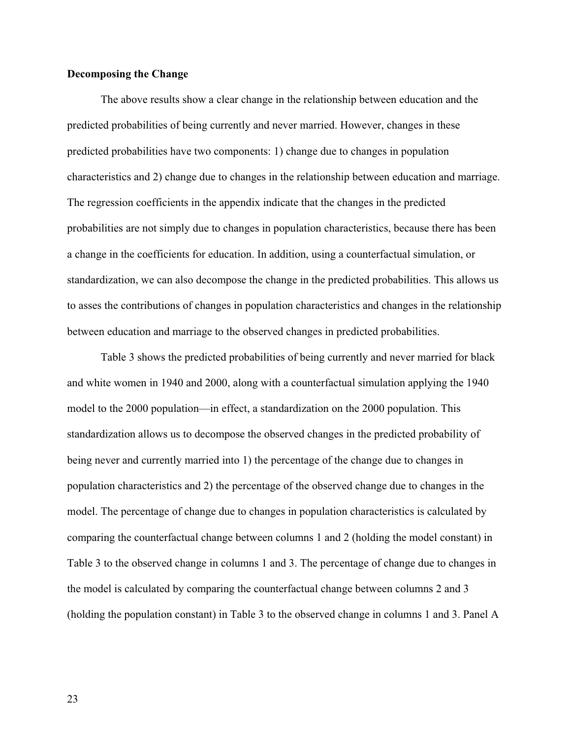### **Decomposing the Change**

The above results show a clear change in the relationship between education and the predicted probabilities of being currently and never married. However, changes in these predicted probabilities have two components: 1) change due to changes in population characteristics and 2) change due to changes in the relationship between education and marriage. The regression coefficients in the appendix indicate that the changes in the predicted probabilities are not simply due to changes in population characteristics, because there has been a change in the coefficients for education. In addition, using a counterfactual simulation, or standardization, we can also decompose the change in the predicted probabilities. This allows us to asses the contributions of changes in population characteristics and changes in the relationship between education and marriage to the observed changes in predicted probabilities.

Table 3 shows the predicted probabilities of being currently and never married for black and white women in 1940 and 2000, along with a counterfactual simulation applying the 1940 model to the 2000 population—in effect, a standardization on the 2000 population. This standardization allows us to decompose the observed changes in the predicted probability of being never and currently married into 1) the percentage of the change due to changes in population characteristics and 2) the percentage of the observed change due to changes in the model. The percentage of change due to changes in population characteristics is calculated by comparing the counterfactual change between columns 1 and 2 (holding the model constant) in Table 3 to the observed change in columns 1 and 3. The percentage of change due to changes in the model is calculated by comparing the counterfactual change between columns 2 and 3 (holding the population constant) in Table 3 to the observed change in columns 1 and 3. Panel A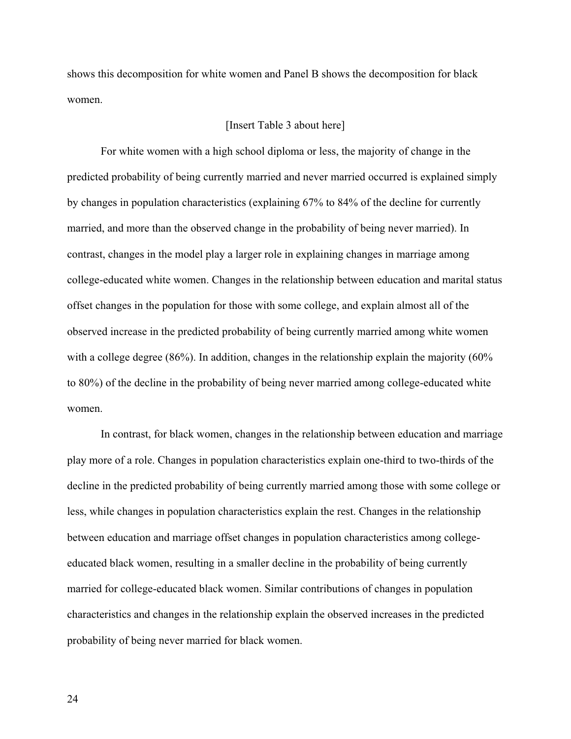shows this decomposition for white women and Panel B shows the decomposition for black women.

#### [Insert Table 3 about here]

For white women with a high school diploma or less, the majority of change in the predicted probability of being currently married and never married occurred is explained simply by changes in population characteristics (explaining 67% to 84% of the decline for currently married, and more than the observed change in the probability of being never married). In contrast, changes in the model play a larger role in explaining changes in marriage among college-educated white women. Changes in the relationship between education and marital status offset changes in the population for those with some college, and explain almost all of the observed increase in the predicted probability of being currently married among white women with a college degree (86%). In addition, changes in the relationship explain the majority (60%) to 80%) of the decline in the probability of being never married among college-educated white women.

In contrast, for black women, changes in the relationship between education and marriage play more of a role. Changes in population characteristics explain one-third to two-thirds of the decline in the predicted probability of being currently married among those with some college or less, while changes in population characteristics explain the rest. Changes in the relationship between education and marriage offset changes in population characteristics among collegeeducated black women, resulting in a smaller decline in the probability of being currently married for college-educated black women. Similar contributions of changes in population characteristics and changes in the relationship explain the observed increases in the predicted probability of being never married for black women.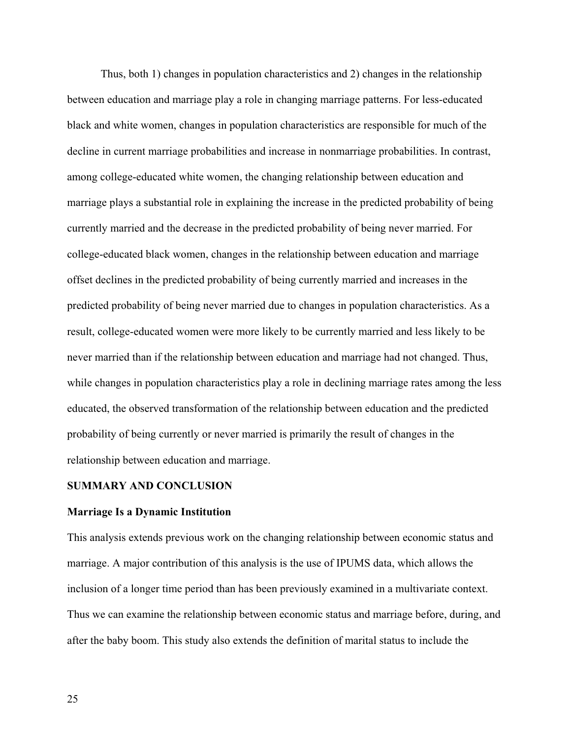Thus, both 1) changes in population characteristics and 2) changes in the relationship between education and marriage play a role in changing marriage patterns. For less-educated black and white women, changes in population characteristics are responsible for much of the decline in current marriage probabilities and increase in nonmarriage probabilities. In contrast, among college-educated white women, the changing relationship between education and marriage plays a substantial role in explaining the increase in the predicted probability of being currently married and the decrease in the predicted probability of being never married. For college-educated black women, changes in the relationship between education and marriage offset declines in the predicted probability of being currently married and increases in the predicted probability of being never married due to changes in population characteristics. As a result, college-educated women were more likely to be currently married and less likely to be never married than if the relationship between education and marriage had not changed. Thus, while changes in population characteristics play a role in declining marriage rates among the less educated, the observed transformation of the relationship between education and the predicted probability of being currently or never married is primarily the result of changes in the relationship between education and marriage.

#### **SUMMARY AND CONCLUSION**

#### **Marriage Is a Dynamic Institution**

This analysis extends previous work on the changing relationship between economic status and marriage. A major contribution of this analysis is the use of IPUMS data, which allows the inclusion of a longer time period than has been previously examined in a multivariate context. Thus we can examine the relationship between economic status and marriage before, during, and after the baby boom. This study also extends the definition of marital status to include the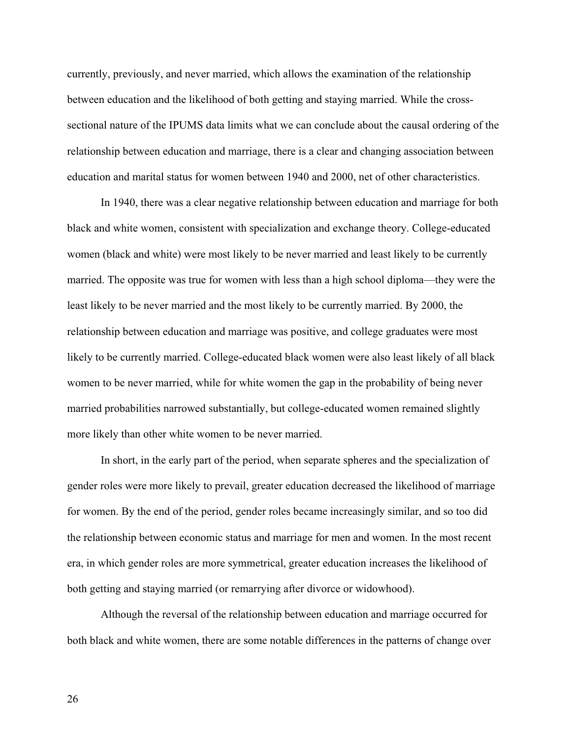currently, previously, and never married, which allows the examination of the relationship between education and the likelihood of both getting and staying married. While the crosssectional nature of the IPUMS data limits what we can conclude about the causal ordering of the relationship between education and marriage, there is a clear and changing association between education and marital status for women between 1940 and 2000, net of other characteristics.

In 1940, there was a clear negative relationship between education and marriage for both black and white women, consistent with specialization and exchange theory. College-educated women (black and white) were most likely to be never married and least likely to be currently married. The opposite was true for women with less than a high school diploma—they were the least likely to be never married and the most likely to be currently married. By 2000, the relationship between education and marriage was positive, and college graduates were most likely to be currently married. College-educated black women were also least likely of all black women to be never married, while for white women the gap in the probability of being never married probabilities narrowed substantially, but college-educated women remained slightly more likely than other white women to be never married.

In short, in the early part of the period, when separate spheres and the specialization of gender roles were more likely to prevail, greater education decreased the likelihood of marriage for women. By the end of the period, gender roles became increasingly similar, and so too did the relationship between economic status and marriage for men and women. In the most recent era, in which gender roles are more symmetrical, greater education increases the likelihood of both getting and staying married (or remarrying after divorce or widowhood).

Although the reversal of the relationship between education and marriage occurred for both black and white women, there are some notable differences in the patterns of change over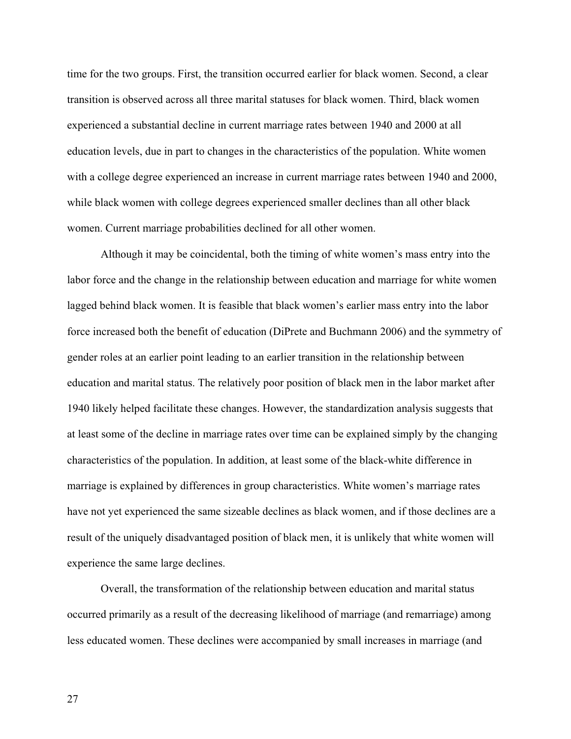time for the two groups. First, the transition occurred earlier for black women. Second, a clear transition is observed across all three marital statuses for black women. Third, black women experienced a substantial decline in current marriage rates between 1940 and 2000 at all education levels, due in part to changes in the characteristics of the population. White women with a college degree experienced an increase in current marriage rates between 1940 and 2000, while black women with college degrees experienced smaller declines than all other black women. Current marriage probabilities declined for all other women.

Although it may be coincidental, both the timing of white women's mass entry into the labor force and the change in the relationship between education and marriage for white women lagged behind black women. It is feasible that black women's earlier mass entry into the labor force increased both the benefit of education (DiPrete and Buchmann 2006) and the symmetry of gender roles at an earlier point leading to an earlier transition in the relationship between education and marital status. The relatively poor position of black men in the labor market after 1940 likely helped facilitate these changes. However, the standardization analysis suggests that at least some of the decline in marriage rates over time can be explained simply by the changing characteristics of the population. In addition, at least some of the black-white difference in marriage is explained by differences in group characteristics. White women's marriage rates have not yet experienced the same sizeable declines as black women, and if those declines are a result of the uniquely disadvantaged position of black men, it is unlikely that white women will experience the same large declines.

Overall, the transformation of the relationship between education and marital status occurred primarily as a result of the decreasing likelihood of marriage (and remarriage) among less educated women. These declines were accompanied by small increases in marriage (and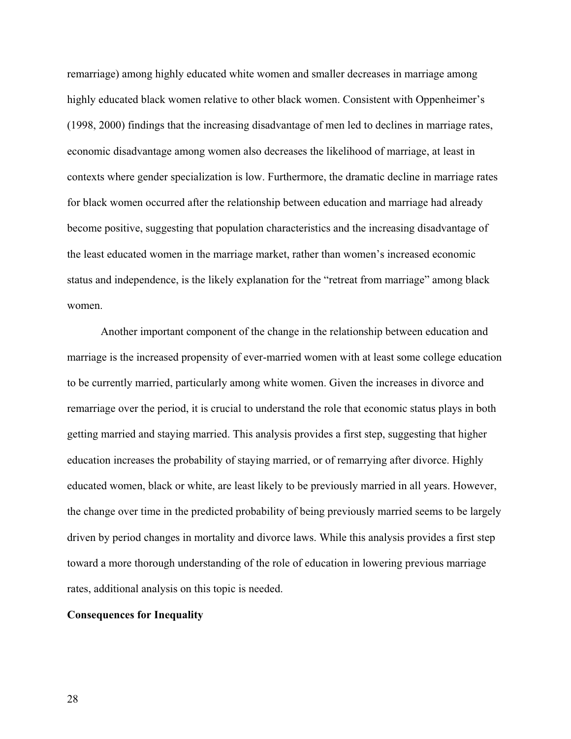remarriage) among highly educated white women and smaller decreases in marriage among highly educated black women relative to other black women. Consistent with Oppenheimer's (1998, 2000) findings that the increasing disadvantage of men led to declines in marriage rates, economic disadvantage among women also decreases the likelihood of marriage, at least in contexts where gender specialization is low. Furthermore, the dramatic decline in marriage rates for black women occurred after the relationship between education and marriage had already become positive, suggesting that population characteristics and the increasing disadvantage of the least educated women in the marriage market, rather than women's increased economic status and independence, is the likely explanation for the "retreat from marriage" among black women.

Another important component of the change in the relationship between education and marriage is the increased propensity of ever-married women with at least some college education to be currently married, particularly among white women. Given the increases in divorce and remarriage over the period, it is crucial to understand the role that economic status plays in both getting married and staying married. This analysis provides a first step, suggesting that higher education increases the probability of staying married, or of remarrying after divorce. Highly educated women, black or white, are least likely to be previously married in all years. However, the change over time in the predicted probability of being previously married seems to be largely driven by period changes in mortality and divorce laws. While this analysis provides a first step toward a more thorough understanding of the role of education in lowering previous marriage rates, additional analysis on this topic is needed.

#### **Consequences for Inequality**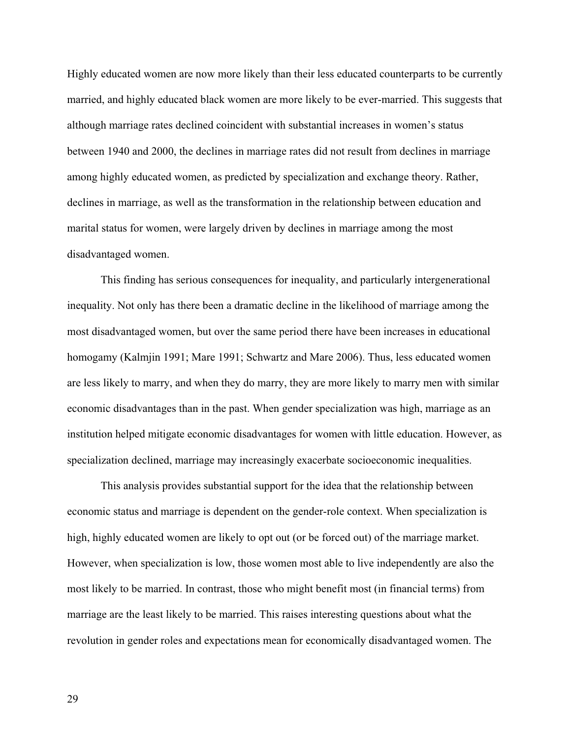Highly educated women are now more likely than their less educated counterparts to be currently married, and highly educated black women are more likely to be ever-married. This suggests that although marriage rates declined coincident with substantial increases in women's status between 1940 and 2000, the declines in marriage rates did not result from declines in marriage among highly educated women, as predicted by specialization and exchange theory. Rather, declines in marriage, as well as the transformation in the relationship between education and marital status for women, were largely driven by declines in marriage among the most disadvantaged women.

This finding has serious consequences for inequality, and particularly intergenerational inequality. Not only has there been a dramatic decline in the likelihood of marriage among the most disadvantaged women, but over the same period there have been increases in educational homogamy (Kalmjin 1991; Mare 1991; Schwartz and Mare 2006). Thus, less educated women are less likely to marry, and when they do marry, they are more likely to marry men with similar economic disadvantages than in the past. When gender specialization was high, marriage as an institution helped mitigate economic disadvantages for women with little education. However, as specialization declined, marriage may increasingly exacerbate socioeconomic inequalities.

This analysis provides substantial support for the idea that the relationship between economic status and marriage is dependent on the gender-role context. When specialization is high, highly educated women are likely to opt out (or be forced out) of the marriage market. However, when specialization is low, those women most able to live independently are also the most likely to be married. In contrast, those who might benefit most (in financial terms) from marriage are the least likely to be married. This raises interesting questions about what the revolution in gender roles and expectations mean for economically disadvantaged women. The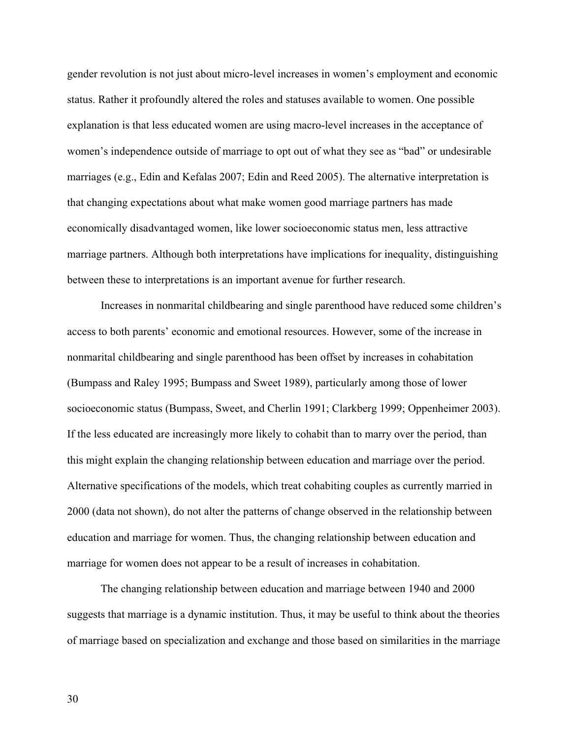gender revolution is not just about micro-level increases in women's employment and economic status. Rather it profoundly altered the roles and statuses available to women. One possible explanation is that less educated women are using macro-level increases in the acceptance of women's independence outside of marriage to opt out of what they see as "bad" or undesirable marriages (e.g., Edin and Kefalas 2007; Edin and Reed 2005). The alternative interpretation is that changing expectations about what make women good marriage partners has made economically disadvantaged women, like lower socioeconomic status men, less attractive marriage partners. Although both interpretations have implications for inequality, distinguishing between these to interpretations is an important avenue for further research.

Increases in nonmarital childbearing and single parenthood have reduced some children's access to both parents' economic and emotional resources. However, some of the increase in nonmarital childbearing and single parenthood has been offset by increases in cohabitation (Bumpass and Raley 1995; Bumpass and Sweet 1989), particularly among those of lower socioeconomic status (Bumpass, Sweet, and Cherlin 1991; Clarkberg 1999; Oppenheimer 2003). If the less educated are increasingly more likely to cohabit than to marry over the period, than this might explain the changing relationship between education and marriage over the period. Alternative specifications of the models, which treat cohabiting couples as currently married in 2000 (data not shown), do not alter the patterns of change observed in the relationship between education and marriage for women. Thus, the changing relationship between education and marriage for women does not appear to be a result of increases in cohabitation.

The changing relationship between education and marriage between 1940 and 2000 suggests that marriage is a dynamic institution. Thus, it may be useful to think about the theories of marriage based on specialization and exchange and those based on similarities in the marriage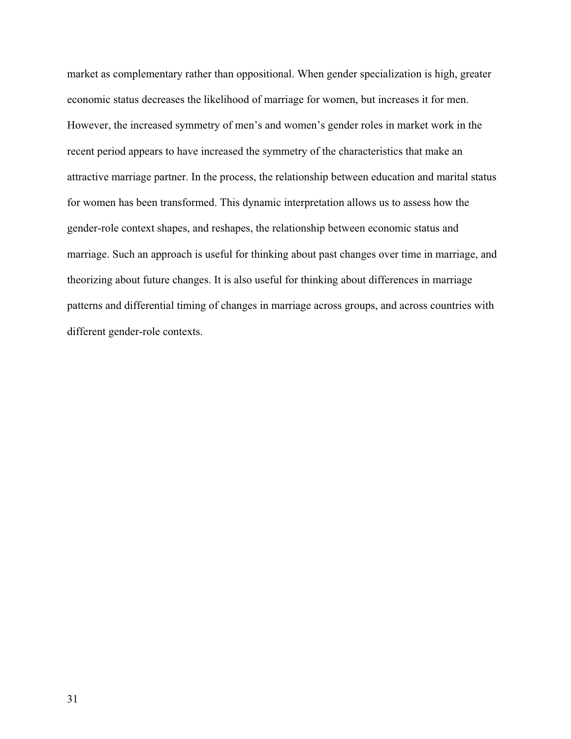market as complementary rather than oppositional. When gender specialization is high, greater economic status decreases the likelihood of marriage for women, but increases it for men. However, the increased symmetry of men's and women's gender roles in market work in the recent period appears to have increased the symmetry of the characteristics that make an attractive marriage partner. In the process, the relationship between education and marital status for women has been transformed. This dynamic interpretation allows us to assess how the gender-role context shapes, and reshapes, the relationship between economic status and marriage. Such an approach is useful for thinking about past changes over time in marriage, and theorizing about future changes. It is also useful for thinking about differences in marriage patterns and differential timing of changes in marriage across groups, and across countries with different gender-role contexts.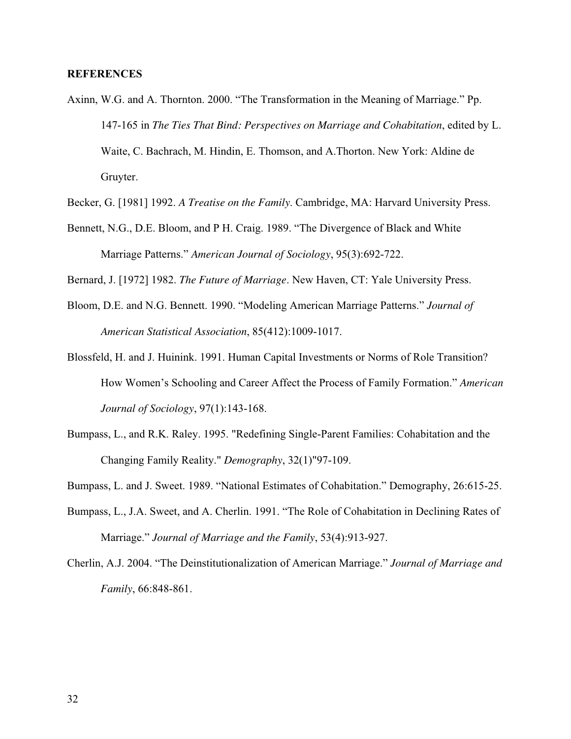#### **REFERENCES**

- Axinn, W.G. and A. Thornton. 2000. "The Transformation in the Meaning of Marriage." Pp. 147-165 in *The Ties That Bind: Perspectives on Marriage and Cohabitation*, edited by L. Waite, C. Bachrach, M. Hindin, E. Thomson, and A.Thorton. New York: Aldine de Gruyter.
- Becker, G. [1981] 1992. *A Treatise on the Family*. Cambridge, MA: Harvard University Press.
- Bennett, N.G., D.E. Bloom, and P H. Craig. 1989. "The Divergence of Black and White Marriage Patterns." *American Journal of Sociology*, 95(3):692-722.
- Bernard, J. [1972] 1982. *The Future of Marriage*. New Haven, CT: Yale University Press.
- Bloom, D.E. and N.G. Bennett. 1990. "Modeling American Marriage Patterns." *Journal of American Statistical Association*, 85(412):1009-1017.
- Blossfeld, H. and J. Huinink. 1991. Human Capital Investments or Norms of Role Transition? How Women's Schooling and Career Affect the Process of Family Formation." *American Journal of Sociology*, 97(1):143-168.
- Bumpass, L., and R.K. Raley. 1995. "Redefining Single-Parent Families: Cohabitation and the Changing Family Reality." *Demography*, 32(1)"97-109.
- Bumpass, L. and J. Sweet. 1989. "National Estimates of Cohabitation." Demography, 26:615-25.
- Bumpass, L., J.A. Sweet, and A. Cherlin. 1991. "The Role of Cohabitation in Declining Rates of Marriage." *Journal of Marriage and the Family*, 53(4):913-927.
- Cherlin, A.J. 2004. "The Deinstitutionalization of American Marriage." *Journal of Marriage and Family*, 66:848-861.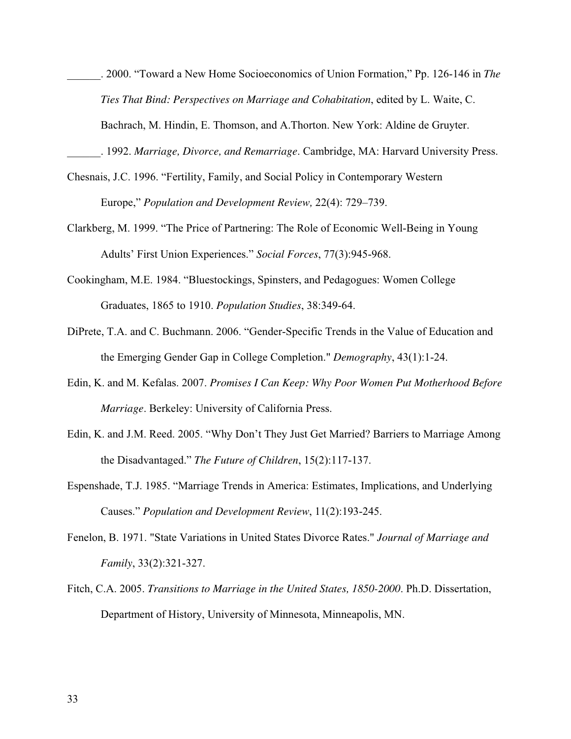\_\_\_\_\_\_. 2000. "Toward a New Home Socioeconomics of Union Formation," Pp. 126-146 in *The Ties That Bind: Perspectives on Marriage and Cohabitation*, edited by L. Waite, C. Bachrach, M. Hindin, E. Thomson, and A.Thorton. New York: Aldine de Gruyter.

\_\_\_\_\_\_. 1992. *Marriage, Divorce, and Remarriage*. Cambridge, MA: Harvard University Press.

- Chesnais, J.C. 1996. "Fertility, Family, and Social Policy in Contemporary Western Europe," *Population and Development Review,* 22(4): 729–739.
- Clarkberg, M. 1999. "The Price of Partnering: The Role of Economic Well-Being in Young Adults' First Union Experiences." *Social Forces*, 77(3):945-968.
- Cookingham, M.E. 1984. "Bluestockings, Spinsters, and Pedagogues: Women College Graduates, 1865 to 1910. *Population Studies*, 38:349-64.
- DiPrete, T.A. and C. Buchmann. 2006. "Gender-Specific Trends in the Value of Education and the Emerging Gender Gap in College Completion." *Demography*, 43(1):1-24.
- Edin, K. and M. Kefalas. 2007. *Promises I Can Keep: Why Poor Women Put Motherhood Before Marriage*. Berkeley: University of California Press.
- Edin, K. and J.M. Reed. 2005. "Why Don't They Just Get Married? Barriers to Marriage Among the Disadvantaged." *The Future of Children*, 15(2):117-137.
- Espenshade, T.J. 1985. "Marriage Trends in America: Estimates, Implications, and Underlying Causes." *Population and Development Review*, 11(2):193-245.
- Fenelon, B. 1971. "State Variations in United States Divorce Rates." *Journal of Marriage and Family*, 33(2):321-327.
- Fitch, C.A. 2005. *Transitions to Marriage in the United States, 1850-2000*. Ph.D. Dissertation, Department of History, University of Minnesota, Minneapolis, MN.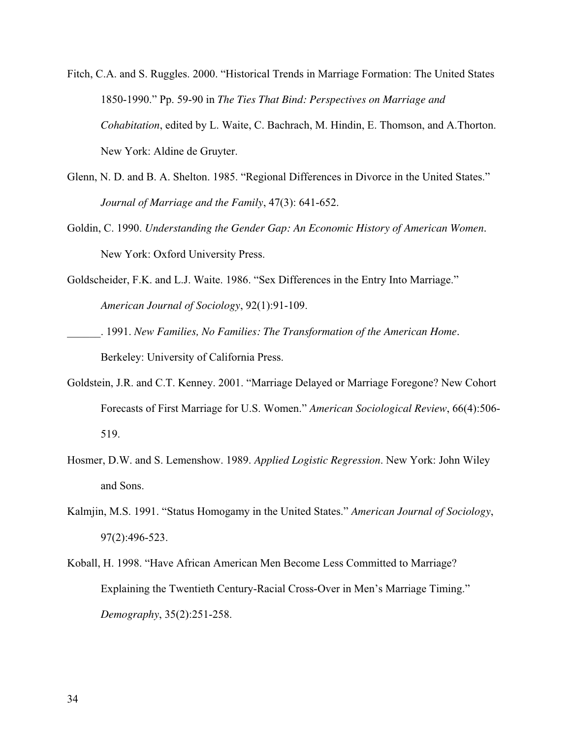- Fitch, C.A. and S. Ruggles. 2000. "Historical Trends in Marriage Formation: The United States 1850-1990." Pp. 59-90 in *The Ties That Bind: Perspectives on Marriage and Cohabitation*, edited by L. Waite, C. Bachrach, M. Hindin, E. Thomson, and A.Thorton. New York: Aldine de Gruyter.
- Glenn, N. D. and B. A. Shelton. 1985. "Regional Differences in Divorce in the United States." *Journal of Marriage and the Family*, 47(3): 641-652.
- Goldin, C. 1990. *Understanding the Gender Gap: An Economic History of American Women.* New York: Oxford University Press.
- Goldscheider, F.K. and L.J. Waite. 1986. "Sex Differences in the Entry Into Marriage." *American Journal of Sociology*, 92(1):91-109.
- \_\_\_\_\_\_. 1991. *New Families, No Families: The Transformation of the American Home.* Berkeley: University of California Press.
- Goldstein, J.R. and C.T. Kenney. 2001. "Marriage Delayed or Marriage Foregone? New Cohort Forecasts of First Marriage for U.S. Women." *American Sociological Review*, 66(4):506- 519.
- Hosmer, D.W. and S. Lemenshow. 1989. *Applied Logistic Regression*. New York: John Wiley and Sons.
- Kalmjin, M.S. 1991. "Status Homogamy in the United States." *American Journal of Sociology*, 97(2):496-523.
- Koball, H. 1998. "Have African American Men Become Less Committed to Marriage? Explaining the Twentieth Century-Racial Cross-Over in Men's Marriage Timing." *Demography*, 35(2):251-258.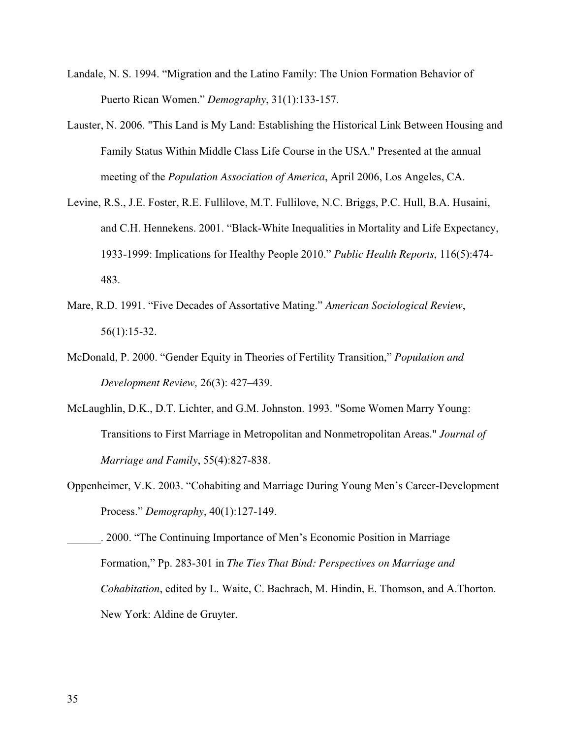- Landale, N. S. 1994. "Migration and the Latino Family: The Union Formation Behavior of Puerto Rican Women." *Demography*, 31(1):133-157.
- Lauster, N. 2006. "This Land is My Land: Establishing the Historical Link Between Housing and Family Status Within Middle Class Life Course in the USA." Presented at the annual meeting of the *Population Association of America*, April 2006, Los Angeles, CA.
- Levine, R.S., J.E. Foster, R.E. Fullilove, M.T. Fullilove, N.C. Briggs, P.C. Hull, B.A. Husaini, and C.H. Hennekens. 2001. "Black-White Inequalities in Mortality and Life Expectancy, 1933-1999: Implications for Healthy People 2010." *Public Health Reports*, 116(5):474- 483.
- Mare, R.D. 1991. "Five Decades of Assortative Mating." *American Sociological Review*, 56(1):15-32.
- McDonald, P. 2000. "Gender Equity in Theories of Fertility Transition," *Population and Development Review,* 26(3): 427–439.
- McLaughlin, D.K., D.T. Lichter, and G.M. Johnston. 1993. "Some Women Marry Young: Transitions to First Marriage in Metropolitan and Nonmetropolitan Areas." *Journal of Marriage and Family*, 55(4):827-838.
- Oppenheimer, V.K. 2003. "Cohabiting and Marriage During Young Men's Career-Development Process." *Demography*, 40(1):127-149.

\_\_\_\_\_\_. 2000. "The Continuing Importance of Men's Economic Position in Marriage Formation," Pp. 283-301 in *The Ties That Bind: Perspectives on Marriage and Cohabitation*, edited by L. Waite, C. Bachrach, M. Hindin, E. Thomson, and A.Thorton. New York: Aldine de Gruyter.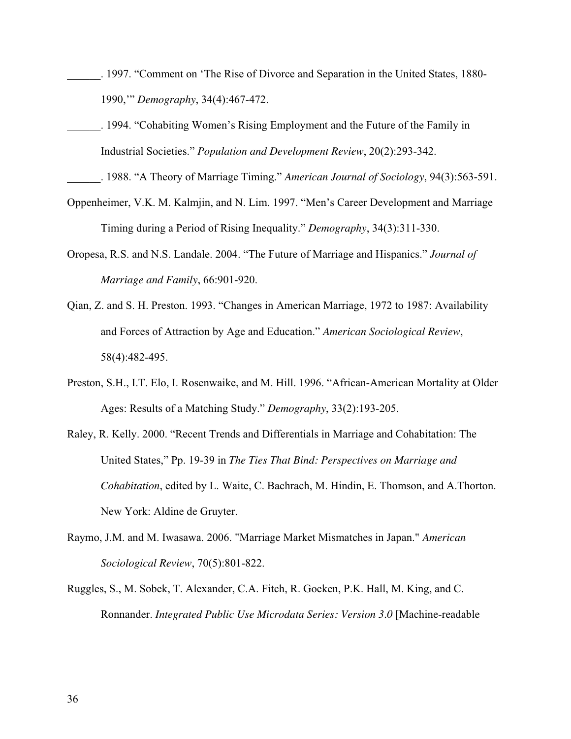- \_\_\_\_\_\_. 1997. "Comment on 'The Rise of Divorce and Separation in the United States, 1880- 1990,'" *Demography*, 34(4):467-472.
- \_\_\_\_\_\_. 1994. "Cohabiting Women's Rising Employment and the Future of the Family in Industrial Societies." *Population and Development Review*, 20(2):293-342.

\_\_\_\_\_\_. 1988. "A Theory of Marriage Timing." *American Journal of Sociology*, 94(3):563-591.

- Oppenheimer, V.K. M. Kalmjin, and N. Lim. 1997. "Men's Career Development and Marriage Timing during a Period of Rising Inequality." *Demography*, 34(3):311-330.
- Oropesa, R.S. and N.S. Landale. 2004. "The Future of Marriage and Hispanics." *Journal of Marriage and Family*, 66:901-920.
- Qian, Z. and S. H. Preston. 1993. "Changes in American Marriage, 1972 to 1987: Availability and Forces of Attraction by Age and Education." *American Sociological Review*, 58(4):482-495.
- Preston, S.H., I.T. Elo, I. Rosenwaike, and M. Hill. 1996. "African-American Mortality at Older Ages: Results of a Matching Study." *Demography*, 33(2):193-205.
- Raley, R. Kelly. 2000. "Recent Trends and Differentials in Marriage and Cohabitation: The United States," Pp. 19-39 in *The Ties That Bind: Perspectives on Marriage and Cohabitation*, edited by L. Waite, C. Bachrach, M. Hindin, E. Thomson, and A.Thorton. New York: Aldine de Gruyter.
- Raymo, J.M. and M. Iwasawa. 2006. "Marriage Market Mismatches in Japan." *American Sociological Review*, 70(5):801-822.
- Ruggles, S., M. Sobek, T. Alexander, C.A. Fitch, R. Goeken, P.K. Hall, M. King, and C. Ronnander. *Integrated Public Use Microdata Series: Version 3.0* [Machine-readable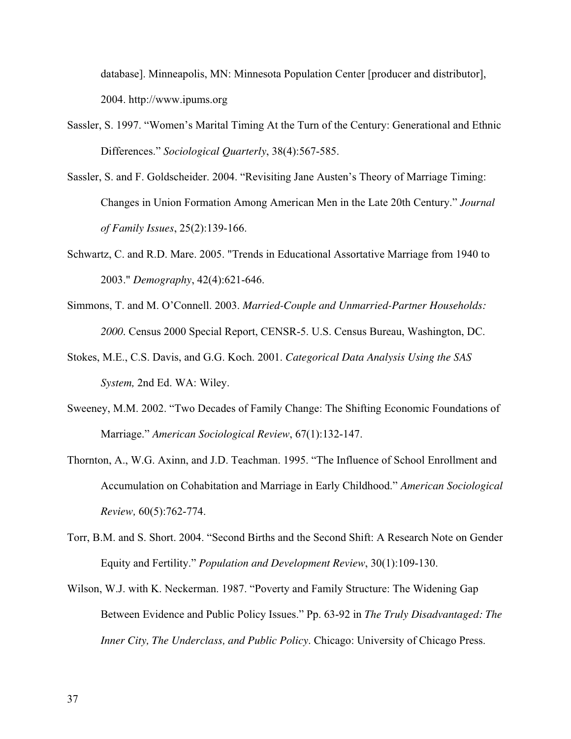database]. Minneapolis, MN: Minnesota Population Center [producer and distributor], 2004.<http://www.ipums.org>

- Sassler, S. 1997. "Women's Marital Timing At the Turn of the Century: Generational and Ethnic Differences." *Sociological Quarterly*, 38(4):567-585.
- Sassler, S. and F. Goldscheider. 2004. "Revisiting Jane Austen's Theory of Marriage Timing: Changes in Union Formation Among American Men in the Late 20th Century." *Journal of Family Issues*, 25(2):139-166.
- Schwartz, C. and R.D. Mare. 2005. "Trends in Educational Assortative Marriage from 1940 to 2003." *Demography*, 42(4):621-646.
- Simmons, T. and M. O'Connell. 2003. *Married-Couple and Unmarried-Partner Households: 2000.* Census 2000 Special Report, CENSR-5. U.S. Census Bureau, Washington, DC.
- Stokes, M.E., C.S. Davis, and G.G. Koch. 2001. *Categorical Data Analysis Using the SAS System,* 2nd Ed. WA: Wiley.
- Sweeney, M.M. 2002. "Two Decades of Family Change: The Shifting Economic Foundations of Marriage." *American Sociological Review*, 67(1):132-147.
- Thornton, A., W.G. Axinn, and J.D. Teachman. 1995. "The Influence of School Enrollment and Accumulation on Cohabitation and Marriage in Early Childhood." *American Sociological Review,* 60(5):762-774.
- Torr, B.M. and S. Short. 2004. "Second Births and the Second Shift: A Research Note on Gender Equity and Fertility." *Population and Development Review*, 30(1):109-130.
- Wilson, W.J. with K. Neckerman. 1987. "Poverty and Family Structure: The Widening Gap Between Evidence and Public Policy Issues." Pp. 63-92 in *The Truly Disadvantaged: The Inner City, The Underclass, and Public Policy*. Chicago: University of Chicago Press.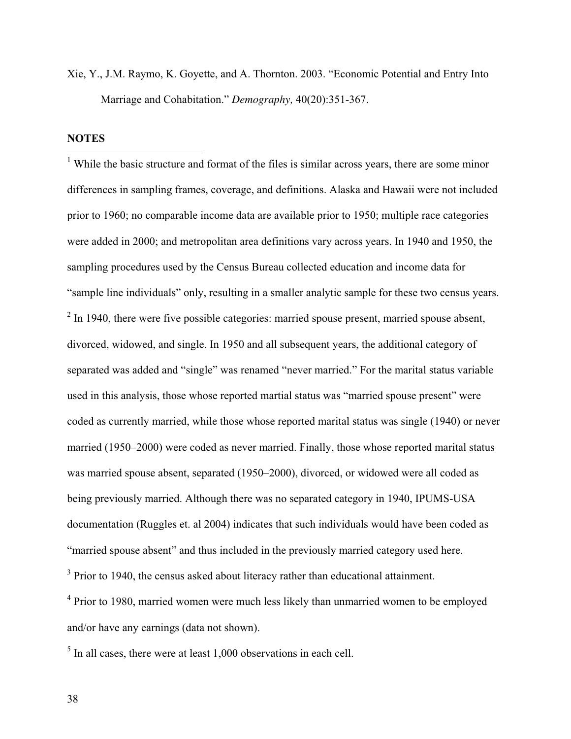Xie, Y., J.M. Raymo, K. Goyette, and A. Thornton. 2003. "Economic Potential and Entry Into Marriage and Cohabitation." *Demography,* 40(20):351-367.

## **NOTES**

<sup>1</sup> While the basic structure and format of the files is similar across years, there are some minor differences in sampling frames, coverage, and definitions. Alaska and Hawaii were not included prior to 1960; no comparable income data are available prior to 1950; multiple race categories were added in 2000; and metropolitan area definitions vary across years. In 1940 and 1950, the sampling procedures used by the Census Bureau collected education and income data for "sample line individuals" only, resulting in a smaller analytic sample for these two census years.  $2 \text{ In } 1940$ , there were five possible categories: married spouse present, married spouse absent, divorced, widowed, and single. In 1950 and all subsequent years, the additional category of separated was added and "single" was renamed "never married." For the marital status variable used in this analysis, those whose reported martial status was "married spouse present" were coded as currently married, while those whose reported marital status was single (1940) or never married (1950–2000) were coded as never married. Finally, those whose reported marital status was married spouse absent, separated (1950–2000), divorced, or widowed were all coded as being previously married. Although there was no separated category in 1940, IPUMS-USA documentation (Ruggles et. al 2004) indicates that such individuals would have been coded as "married spouse absent" and thus included in the previously married category used here. <sup>3</sup> Prior to 1940, the census asked about literacy rather than educational attainment.

<sup>4</sup> Prior to 1980, married women were much less likely than unmarried women to be employed and/or have any earnings (data not shown).

 $<sup>5</sup>$  In all cases, there were at least 1,000 observations in each cell.</sup>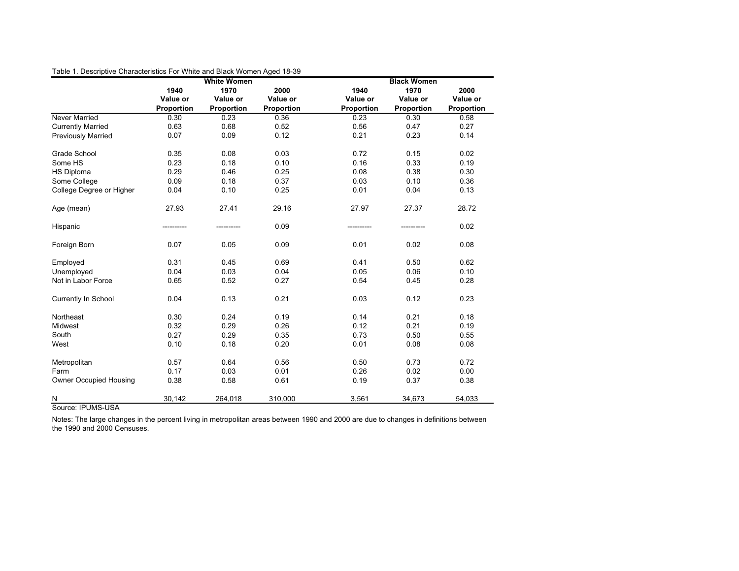|                               |            | <b>White Women</b> |            |            | <b>Black Women</b> |            |
|-------------------------------|------------|--------------------|------------|------------|--------------------|------------|
|                               | 1940       | 1970               | 2000       | 1940       | 1970               | 2000       |
|                               | Value or   | Value or           | Value or   | Value or   | Value or           | Value or   |
|                               | Proportion | Proportion         | Proportion | Proportion | Proportion         | Proportion |
| <b>Never Married</b>          | 0.30       | 0.23               | 0.36       | 0.23       | 0.30               | 0.58       |
| <b>Currently Married</b>      | 0.63       | 0.68               | 0.52       | 0.56       | 0.47               | 0.27       |
| <b>Previously Married</b>     | 0.07       | 0.09               | 0.12       | 0.21       | 0.23               | 0.14       |
| Grade School                  | 0.35       | 0.08               | 0.03       | 0.72       | 0.15               | 0.02       |
| Some HS                       | 0.23       | 0.18               | 0.10       | 0.16       | 0.33               | 0.19       |
| <b>HS Diploma</b>             | 0.29       | 0.46               | 0.25       | 0.08       | 0.38               | 0.30       |
| Some College                  | 0.09       | 0.18               | 0.37       | 0.03       | 0.10               | 0.36       |
| College Degree or Higher      | 0.04       | 0.10               | 0.25       | 0.01       | 0.04               | 0.13       |
| Age (mean)                    | 27.93      | 27.41              | 29.16      | 27.97      | 27.37              | 28.72      |
| Hispanic                      | ---------- |                    | 0.09       |            |                    | 0.02       |
| Foreign Born                  | 0.07       | 0.05               | 0.09       | 0.01       | 0.02               | 0.08       |
| Employed                      | 0.31       | 0.45               | 0.69       | 0.41       | 0.50               | 0.62       |
| Unemployed                    | 0.04       | 0.03               | 0.04       | 0.05       | 0.06               | 0.10       |
| Not in Labor Force            | 0.65       | 0.52               | 0.27       | 0.54       | 0.45               | 0.28       |
| Currently In School           | 0.04       | 0.13               | 0.21       | 0.03       | 0.12               | 0.23       |
| Northeast                     | 0.30       | 0.24               | 0.19       | 0.14       | 0.21               | 0.18       |
| Midwest                       | 0.32       | 0.29               | 0.26       | 0.12       | 0.21               | 0.19       |
| South                         | 0.27       | 0.29               | 0.35       | 0.73       | 0.50               | 0.55       |
| West                          | 0.10       | 0.18               | 0.20       | 0.01       | 0.08               | 0.08       |
| Metropolitan                  | 0.57       | 0.64               | 0.56       | 0.50       | 0.73               | 0.72       |
| Farm                          | 0.17       | 0.03               | 0.01       | 0.26       | 0.02               | 0.00       |
| <b>Owner Occupied Housing</b> | 0.38       | 0.58               | 0.61       | 0.19       | 0.37               | 0.38       |
| $\overline{\mathsf{N}}$       | 30,142     | 264,018            | 310,000    | 3,561      | 34,673             | 54,033     |

Table 1. Descriptive Characteristics For White and Black Women Aged 18-39

Source: IPUMS-USA

Notes: The large changes in the percent living in metropolitan areas between 1990 and 2000 are due to changes in definitions between the 1990 and 2000 Censuses.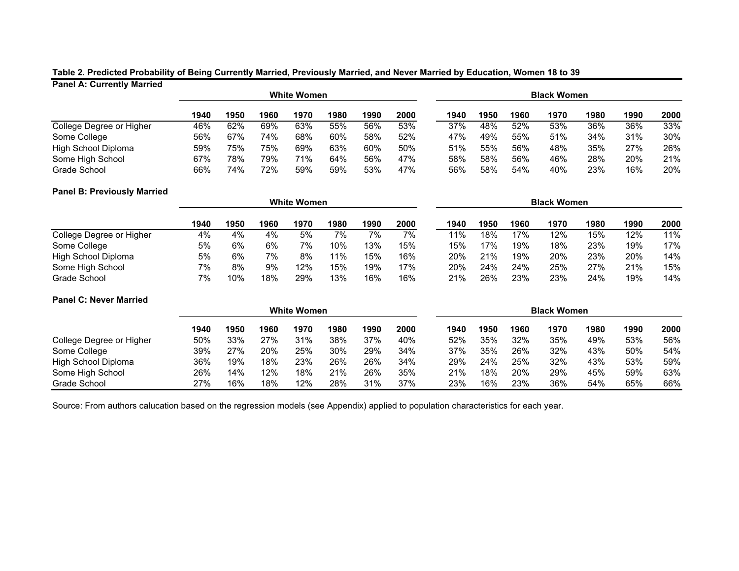#### **Panel A: Currently Married Table 2. Predicted Probability of Being Currently Married, Previously Married, and Never Married by Education, Women 18 to 39**

| 1.11                     |      |      |      |                    |      |      |                    |      |      |      |      |      |      |        |
|--------------------------|------|------|------|--------------------|------|------|--------------------|------|------|------|------|------|------|--------|
|                          |      |      |      | <b>White Women</b> |      |      | <b>Black Women</b> |      |      |      |      |      |      |        |
|                          | 1940 | 1950 | 1960 | 1970               | 1980 | 1990 | 2000               | 1940 | 1950 | 1960 | 1970 | 1980 | 1990 | 2000   |
| College Degree or Higher | 46%  | 62%  | 69%  | 63%                | 55%  | 56%  | 53%                | 37%  | 48%  | 52%  | 53%  | 36%  | 36%  | 33%    |
| Some College             | 56%  | 67%  | 74%  | 68%                | 60%  | 58%  | 52%                | 47%  | 49%  | 55%  | 51%  | 34%  | 31%  | $30\%$ |
| High School Diploma      | 59%  | 75%  | 75%  | 69%                | 63%  | 60%  | 50%                | 51%  | 55%  | 56%  | 48%  | 35%  | 27%  | 26%    |
| Some High School         | 67%  | 78%  | 79%  | 71%                | 64%  | 56%  | 47%                | 58%  | 58%  | 56%  | 46%  | 28%  | 20%  | 21%    |
| Grade School             | 66%  | 74%  | 72%  | 59%                | 59%  | 53%  | 47%                | 56%  | 58%  | 54%  | 40%  | 23%  | 16%  | 20%    |

#### **Panel B: Previously Married**

|                          |      |      |      | <b>White Women</b> |      |      | <b>Black Women</b> |      |      |      |      |      |      |      |
|--------------------------|------|------|------|--------------------|------|------|--------------------|------|------|------|------|------|------|------|
|                          | 1940 | 1950 | 1960 | 1970               | 1980 | 1990 | 2000               | 1940 | 1950 | 1960 | 1970 | 1980 | 1990 | 2000 |
| College Degree or Higher | 4%   | 4%   | 4%   | 5%                 | 7%   | 7%   | 7%                 | 11%  | 18%  | 17%  | 12%  | 15%  | 12%  | 11%  |
| Some College             | 5%   | 6%   | 6%   | 7%                 | 10%  | 13%  | 15%                | 15%  | 17%  | 19%  | 18%  | 23%  | 19%  | 17%  |
| High School Diploma      | 5%   | 6%   | 7%   | 8%                 | 11%  | 15%  | 16%                | 20%  | 21%  | 19%  | 20%  | 23%  | 20%  | 14%  |
| Some High School         | 7%   | 8%   | 9%   | 12%                | 15%  | 19%  | 17%                | 20%  | 24%  | 24%  | 25%  | 27%  | 21%  | 15%  |
| Grade School             | 7%   | 10%  | 18%  | 29%                | 13%  | 16%  | 16%                | 21%  | 26%  | 23%  | 23%  | 24%  | 19%  | 14%  |

#### **Panel C: Never Married**

|                          | <b>White Women</b> |      |      |      |      |      |      |      | <b>Black Women</b> |      |      |      |      |      |  |
|--------------------------|--------------------|------|------|------|------|------|------|------|--------------------|------|------|------|------|------|--|
|                          | 1940               | 1950 | 1960 | 1970 | 1980 | 1990 | 2000 | 1940 | 1950               | 1960 | 1970 | 1980 | 1990 | 2000 |  |
| College Degree or Higher | 50%                | 33%  | 27%  | 31%  | 38%  | 37%  | 40%  | 52%  | 35%                | 32%  | 35%  | 49%  | 53%  | 56%  |  |
| Some College             | 39%                | 27%  | 20%  | 25%  | 30%  | 29%  | 34%  | 37%  | 35%                | 26%  | 32%  | 43%  | 50%  | 54%  |  |
| High School Diploma      | 36%                | 19%  | 18%  | 23%  | 26%  | 26%  | 34%  | 29%  | 24%                | 25%  | 32%  | 43%  | 53%  | 59%  |  |
| Some High School         | 26%                | 14%  | 12%  | 18%  | 21%  | 26%  | 35%  | 21%  | 18%                | 20%  | 29%  | 45%  | 59%  | 63%  |  |
| Grade School             | 27%                | 16%  | 18%  | 12%  | 28%  | 31%  | 37%  | 23%  | 16%                | 23%  | 36%  | 54%  | 65%  | 66%  |  |

Source: From authors calucation based on the regression models (see Appendix) applied to population characteristics for each year.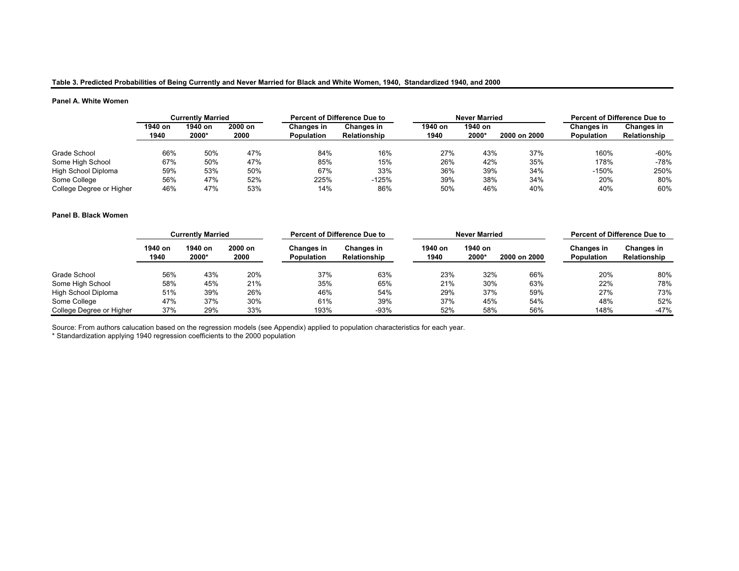#### **Table 3. Predicted Probabilities of Being Currently and Never Married for Black and White Women, 1940, Standardized 1940, and 2000**

#### **Panel A. White Women**

|                          | <b>Currently Married</b> |         |         |                   | <b>Percent of Difference Due to</b> |         | <b>Never Married</b> |              | <b>Percent of Difference Due to</b> |                   |  |
|--------------------------|--------------------------|---------|---------|-------------------|-------------------------------------|---------|----------------------|--------------|-------------------------------------|-------------------|--|
|                          | 1940 on                  | 1940 on | 2000 on | Changes in        | <b>Changes in</b>                   | 1940 on | 1940 on              |              | <b>Changes in</b>                   | <b>Changes in</b> |  |
|                          | 1940                     | 2000*   | 2000    | <b>Population</b> | <b>Relationship</b>                 | 1940    | 2000*                | 2000 on 2000 | <b>Population</b>                   | Relationship      |  |
|                          |                          |         |         |                   |                                     |         |                      |              |                                     |                   |  |
| Grade School             | 66%                      | 50%     | 47%     | 84%               | 16%                                 | 27%     | 43%                  | 37%          | 160%                                | $-60%$            |  |
| Some High School         | 67%                      | 50%     | 47%     | 85%               | 15%                                 | 26%     | 42%                  | 35%          | 178%                                | -78%              |  |
| High School Diploma      | 59%                      | 53%     | 50%     | 67%               | 33%                                 | 36%     | 39%                  | 34%          | $-150%$                             | 250%              |  |
| Some College             | 56%                      | 47%     | 52%     | 225%              | $-125%$                             | 39%     | 38%                  | 34%          | 20%                                 | 80%               |  |
| College Degree or Higher | 46%                      | 47%     | 53%     | 14%               | 86%                                 | 50%     | 46%                  | 40%          | 40%                                 | 60%               |  |

#### **Panel B. Black Women**

|                          | <b>Currently Married</b> |                  |                 |                                 | <b>Percent of Difference Due to</b> |                 | <b>Never Married</b> | <b>Percent of Difference Due to</b> |                                 |                                   |
|--------------------------|--------------------------|------------------|-----------------|---------------------------------|-------------------------------------|-----------------|----------------------|-------------------------------------|---------------------------------|-----------------------------------|
|                          | 1940 on<br>1940          | 1940 on<br>2000* | 2000 on<br>2000 | Changes in<br><b>Population</b> | Changes in<br>Relationship          | 1940 on<br>1940 | 1940 on<br>2000*     | 2000 on 2000                        | <b>Changes in</b><br>Population | <b>Changes in</b><br>Relationship |
| Grade School             | 56%                      | 43%              | 20%             | 37%                             | 63%                                 | 23%             | 32%                  | 66%                                 | 20%                             | 80%                               |
| Some High School         | 58%                      | 45%              | 21%             | 35%                             | 65%                                 | 21%             | 30%                  | 63%                                 | 22%                             | 78%                               |
| High School Diploma      | 51%                      | 39%              | 26%             | 46%                             | 54%                                 | 29%             | 37%                  | 59%                                 | 27%                             | 73%                               |
| Some College             | 47%                      | 37%              | 30%             | 61%                             | 39%                                 | 37%             | 45%                  | 54%                                 | 48%                             | 52%                               |
| College Degree or Higher | 37%                      | 29%              | 33%             | 193%                            | $-93%$                              | 52%             | 58%                  | 56%                                 | 148%                            | $-47%$                            |

Source: From authors calucation based on the regression models (see Appendix) applied to population characteristics for each year.

\* Standardization applying 1940 regression coefficients to the 2000 population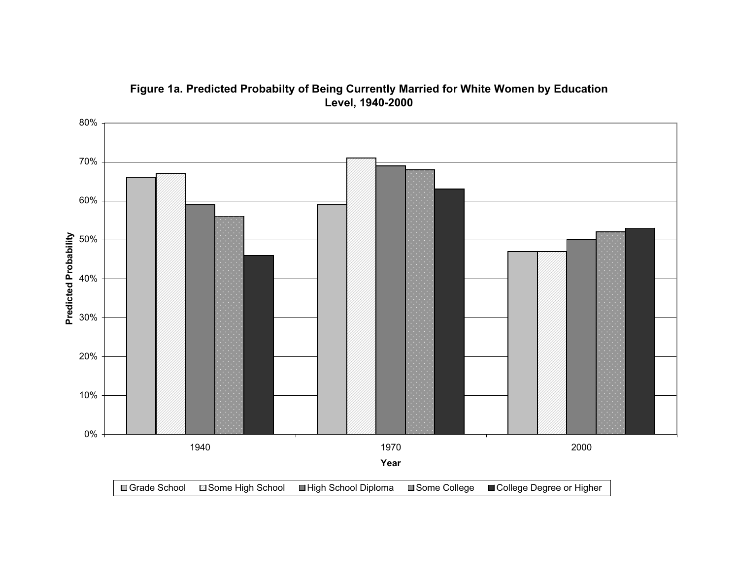

# **Figure 1a. Predicted Probabilty of Being Currently Married for White Women by Education Level, 1940-2000**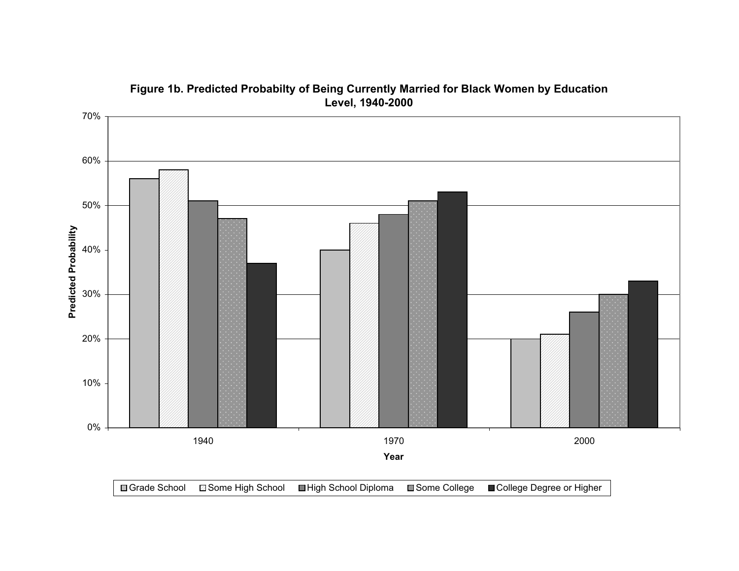

# **Figure 1b. Predicted Probabilty of Being Currently Married for Black Women by Education Level, 1940-2000**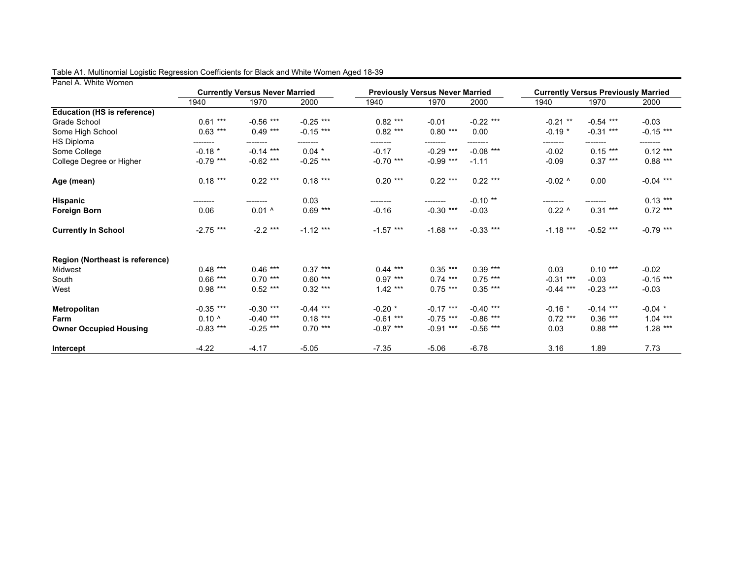| ו מווסו רז. איווונס איטוווסוו      |                |                                               |             |             |                                                |             | <b>Currently Versus Previously Married</b> |             |             |  |
|------------------------------------|----------------|-----------------------------------------------|-------------|-------------|------------------------------------------------|-------------|--------------------------------------------|-------------|-------------|--|
|                                    | 1940           | <b>Currently Versus Never Married</b><br>1970 | 2000        | 1940        | <b>Previously Versus Never Married</b><br>1970 | 2000        | 1940                                       | 1970        | 2000        |  |
| <b>Education (HS is reference)</b> |                |                                               |             |             |                                                |             |                                            |             |             |  |
| Grade School                       | $0.61***$      | $-0.56$ ***                                   | $-0.25$ *** | $0.82***$   | $-0.01$                                        | $-0.22$ *** | $-0.21$ **                                 | $-0.54$ *** | $-0.03$     |  |
| Some High School                   | $0.63$ ***     | $0.49***$                                     | $-0.15$ *** | $0.82***$   | $0.80***$                                      | 0.00        | $-0.19*$                                   | $-0.31$ *** | $-0.15$ *** |  |
|                                    |                |                                               |             |             |                                                |             |                                            |             |             |  |
| <b>HS Diploma</b>                  | --------       | ---------                                     | ---------   | --------    | ---------                                      | ---------   | --------                                   | ---------   | --------    |  |
| Some College                       | $-0.18$ *      | $-0.14$ ***                                   | $0.04$ *    | $-0.17$     | $-0.29$ ***                                    | $-0.08$ *** | $-0.02$                                    | $0.15***$   | $0.12***$   |  |
| College Degree or Higher           | $-0.79$ ***    | $-0.62$ ***                                   | $-0.25$ *** | $-0.70$ *** | $-0.99$ ***                                    | $-1.11$     | $-0.09$                                    | $0.37***$   | $0.88***$   |  |
| Age (mean)                         | $0.18***$      | $0.22***$                                     | $0.18***$   | $0.20***$   | $0.22***$                                      | $0.22***$   | $-0.02$ ^                                  | 0.00        | $-0.04$ *** |  |
| <b>Hispanic</b>                    | --------       |                                               | 0.03        |             | --------                                       | $-0.10**$   |                                            |             | $0.13***$   |  |
| <b>Foreign Born</b>                | 0.06           | $0.01^$                                       | $0.69***$   | $-0.16$     | $-0.30$ ***                                    | $-0.03$     | $0.22^{\circ}$                             | $0.31***$   | $0.72***$   |  |
| <b>Currently In School</b>         | $-2.75$ ***    | $-2.2$ ***                                    | $-1.12$ *** | $-1.57$ *** | $-1.68$ ***                                    | $-0.33$ *** | $-1.18$ ***                                | $-0.52$ *** | $-0.79$ *** |  |
| Region (Northeast is reference)    |                |                                               |             |             |                                                |             |                                            |             |             |  |
| Midwest                            | $0.48$ ***     | $0.46***$                                     | $0.37***$   | $0.44***$   | $0.35***$                                      | $0.39***$   | 0.03                                       | $0.10***$   | $-0.02$     |  |
| South                              | $0.66***$      | $0.70***$                                     | $0.60***$   | $0.97***$   | $0.74***$                                      | $0.75***$   | $-0.31$ ***                                | $-0.03$     | $-0.15$ *** |  |
| West                               | $0.98***$      | $0.52***$                                     | $0.32***$   | $1.42***$   | $0.75***$                                      | $0.35***$   | $-0.44$ ***                                | $-0.23$ *** | $-0.03$     |  |
| <b>Metropolitan</b>                | $-0.35$ ***    | $-0.30***$                                    | $-0.44$ *** | $-0.20$ *   | $-0.17$ ***                                    | $-0.40$ *** | $-0.16$ *                                  | $-0.14$ *** | $-0.04$ *   |  |
| Farm                               | $0.10^{\circ}$ | $-0.40$ ***                                   | $0.18***$   | $-0.61$ *** | $-0.75$ ***                                    | $-0.86$ *** | $0.72$ ***                                 | $0.36***$   | $1.04***$   |  |
| <b>Owner Occupied Housing</b>      | $-0.83$ ***    | $-0.25$ ***                                   | $0.70***$   | $-0.87$ *** | $-0.91$ ***                                    | $-0.56$ *** | 0.03                                       | $0.88***$   | $1.28***$   |  |
| <b>Intercept</b>                   | $-4.22$        | $-4.17$                                       | $-5.05$     | $-7.35$     | $-5.06$                                        | $-6.78$     | 3.16                                       | 1.89        | 7.73        |  |

#### Table A1. Multinomial Logistic Regression Coefficients for Black and White Women Aged 18-39

Panel A. White Women